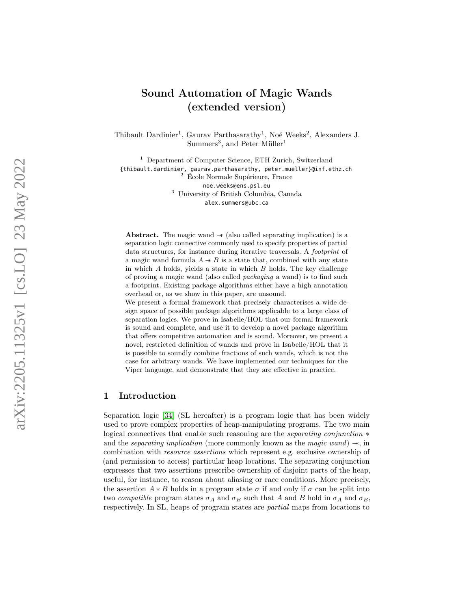# Sound Automation of Magic Wands (extended version)

Thibault Dardinier 1 , Gaurav Parthasarathy 1 , Noé Weeks 2 , Alexanders J. Summers<sup>3</sup>, and Peter Müller<sup>1</sup>

<sup>1</sup> Department of Computer Science, ETH Zurich, Switzerland {thibault.dardinier, gaurav.parthasarathy, peter.mueller}@inf.ethz.ch <sup>2</sup> École Normale Supérieure, France noe.weeks@ens.psl.eu <sup>3</sup> University of British Columbia, Canada alex.summers@ubc.ca

Abstract. The magic wand  $\rightarrow$  (also called separating implication) is a separation logic connective commonly used to specify properties of partial data structures, for instance during iterative traversals. A footprint of a magic wand formula  $A \rightarrow B$  is a state that, combined with any state in which A holds, yields a state in which B holds. The key challenge of proving a magic wand (also called packaging a wand) is to find such a footprint. Existing package algorithms either have a high annotation overhead or, as we show in this paper, are unsound.

We present a formal framework that precisely characterises a wide design space of possible package algorithms applicable to a large class of separation logics. We prove in Isabelle/HOL that our formal framework is sound and complete, and use it to develop a novel package algorithm that offers competitive automation and is sound. Moreover, we present a novel, restricted definition of wands and prove in Isabelle/HOL that it is possible to soundly combine fractions of such wands, which is not the case for arbitrary wands. We have implemented our techniques for the Viper language, and demonstrate that they are effective in practice.

### <span id="page-0-0"></span>1 Introduction

Separation logic [\[34\]](#page-20-0) (SL hereafter) is a program logic that has been widely used to prove complex properties of heap-manipulating programs. The two main logical connectives that enable such reasoning are the *separating conjunction*  $*$ and the *separating implication* (more commonly known as the *magic wand*)  $\rightarrow$ , in combination with resource assertions which represent e.g. exclusive ownership of (and permission to access) particular heap locations. The separating conjunction expresses that two assertions prescribe ownership of disjoint parts of the heap, useful, for instance, to reason about aliasing or race conditions. More precisely, the assertion  $A * B$  holds in a program state  $\sigma$  if and only if  $\sigma$  can be split into two compatible program states  $\sigma_A$  and  $\sigma_B$  such that A and B hold in  $\sigma_A$  and  $\sigma_B$ , respectively. In SL, heaps of program states are partial maps from locations to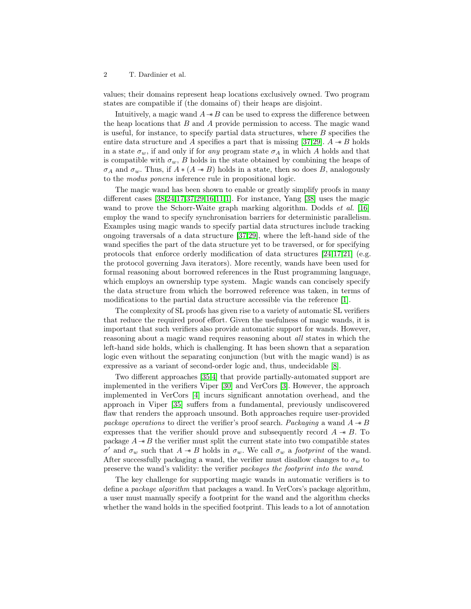values; their domains represent heap locations exclusively owned. Two program states are compatible if (the domains of) their heaps are disjoint.

Intuitively, a magic wand  $A \rightarrow B$  can be used to express the difference between the heap locations that  $B$  and  $A$  provide permission to access. The magic wand is useful, for instance, to specify partial data structures, where  $B$  specifies the entire data structure and A specifies a part that is missing [\[37,](#page-20-1)[29\]](#page-20-2).  $A \rightarrow B$  holds in a state  $\sigma_w$ , if and only if for any program state  $\sigma_A$  in which A holds and that is compatible with  $\sigma_w$ , B holds in the state obtained by combining the heaps of  $\sigma_A$  and  $\sigma_w$ . Thus, if  $A * (A \twoheadrightarrow B)$  holds in a state, then so does B, analogously to the modus ponens inference rule in propositional logic.

The magic wand has been shown to enable or greatly simplify proofs in many different cases [\[38,](#page-20-3)[24,](#page-19-0)[17](#page-19-1)[,37](#page-20-1)[,29,](#page-20-2)[16,](#page-19-2)[11,](#page-18-0)[1\]](#page-18-1). For instance, Yang [\[38\]](#page-20-3) uses the magic wand to prove the Schorr-Waite graph marking algorithm. Dodds *et al.* [\[16\]](#page-19-2) employ the wand to specify synchronisation barriers for deterministic parallelism. Examples using magic wands to specify partial data structures include tracking ongoing traversals of a data structure [\[37](#page-20-1)[,29\]](#page-20-2), where the left-hand side of the wand specifies the part of the data structure yet to be traversed, or for specifying protocols that enforce orderly modification of data structures [\[24,](#page-19-0)[17](#page-19-1)[,21\]](#page-19-3) (e.g. the protocol governing Java iterators). More recently, wands have been used for formal reasoning about borrowed references in the Rust programming language, which employs an ownership type system. Magic wands can concisely specify the data structure from which the borrowed reference was taken, in terms of modifications to the partial data structure accessible via the reference [\[1\]](#page-18-1).

The complexity of SL proofs has given rise to a variety of automatic SL verifiers that reduce the required proof effort. Given the usefulness of magic wands, it is important that such verifiers also provide automatic support for wands. However, reasoning about a magic wand requires reasoning about all states in which the left-hand side holds, which is challenging. It has been shown that a separation logic even without the separating conjunction (but with the magic wand) is as expressive as a variant of second-order logic and, thus, undecidable [\[8\]](#page-18-2).

Two different approaches [\[35,](#page-20-4)[4\]](#page-18-3) that provide partially-automated support are implemented in the verifiers Viper [\[30\]](#page-20-5) and VerCors [\[3\]](#page-18-4). However, the approach implemented in VerCors [\[4\]](#page-18-3) incurs significant annotation overhead, and the approach in Viper [\[35\]](#page-20-4) suffers from a fundamental, previously undiscovered flaw that renders the approach unsound. Both approaches require user-provided package operations to direct the verifier's proof search. Packaging a wand  $A \rightarrow B$ expresses that the verifier should prove and subsequently record  $A \rightarrow B$ . To package  $A \rightarrow B$  the verifier must split the current state into two compatible states σ' and σ<sub>w</sub> such that  $A \rightharpoonup B$  holds in σ<sub>w</sub>. We call σ<sub>w</sub> a *footprint* of the wand. After successfully packaging a wand, the verifier must disallow changes to  $\sigma_w$  to preserve the wand's validity: the verifier packages the footprint into the wand.

The key challenge for supporting magic wands in automatic verifiers is to define a package algorithm that packages a wand. In VerCors's package algorithm, a user must manually specify a footprint for the wand and the algorithm checks whether the wand holds in the specified footprint. This leads to a lot of annotation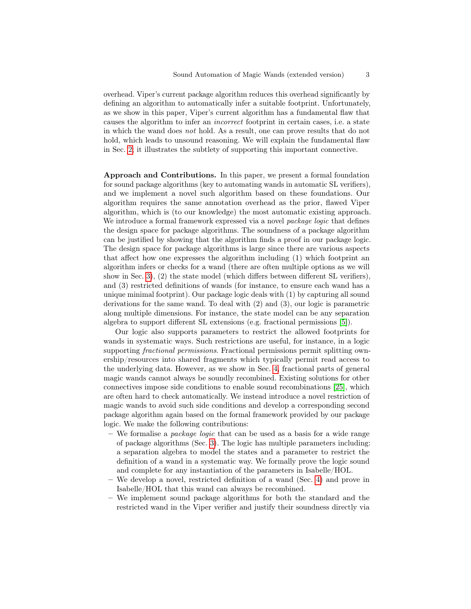overhead. Viper's current package algorithm reduces this overhead significantly by defining an algorithm to automatically infer a suitable footprint. Unfortunately, as we show in this paper, Viper's current algorithm has a fundamental flaw that causes the algorithm to infer an incorrect footprint in certain cases, i.e. a state in which the wand does not hold. As a result, one can prove results that do not hold, which leads to unsound reasoning. We will explain the fundamental flaw in Sec. [2;](#page-3-0) it illustrates the subtlety of supporting this important connective.

Approach and Contributions. In this paper, we present a formal foundation for sound package algorithms (key to automating wands in automatic SL verifiers), and we implement a novel such algorithm based on these foundations. Our algorithm requires the same annotation overhead as the prior, flawed Viper algorithm, which is (to our knowledge) the most automatic existing approach. We introduce a formal framework expressed via a novel *package logic* that defines the design space for package algorithms. The soundness of a package algorithm can be justified by showing that the algorithm finds a proof in our package logic. The design space for package algorithms is large since there are various aspects that affect how one expresses the algorithm including (1) which footprint an algorithm infers or checks for a wand (there are often multiple options as we will show in Sec. [3\)](#page-6-0), (2) the state model (which differs between different SL verifiers), and (3) restricted definitions of wands (for instance, to ensure each wand has a unique minimal footprint). Our package logic deals with (1) by capturing all sound derivations for the same wand. To deal with (2) and (3), our logic is parametric along multiple dimensions. For instance, the state model can be any separation algebra to support different SL extensions (e.g. fractional permissions [\[5\]](#page-18-5)).

Our logic also supports parameters to restrict the allowed footprints for wands in systematic ways. Such restrictions are useful, for instance, in a logic supporting fractional permissions. Fractional permissions permit splitting ownership/resources into shared fragments which typically permit read access to the underlying data. However, as we show in Sec. [4,](#page-12-0) fractional parts of general magic wands cannot always be soundly recombined. Existing solutions for other connectives impose side conditions to enable sound recombinations [\[25\]](#page-19-4), which are often hard to check automatically. We instead introduce a novel restriction of magic wands to avoid such side conditions and develop a corresponding second package algorithm again based on the formal framework provided by our package logic. We make the following contributions:

- We formalise a *package logic* that can be used as a basis for a wide range of package algorithms (Sec. [3\)](#page-6-0). The logic has multiple parameters including: a separation algebra to model the states and a parameter to restrict the definition of a wand in a systematic way. We formally prove the logic sound and complete for any instantiation of the parameters in Isabelle/HOL.
- We develop a novel, restricted definition of a wand (Sec. [4\)](#page-12-0) and prove in Isabelle/HOL that this wand can always be recombined.
- We implement sound package algorithms for both the standard and the restricted wand in the Viper verifier and justify their soundness directly via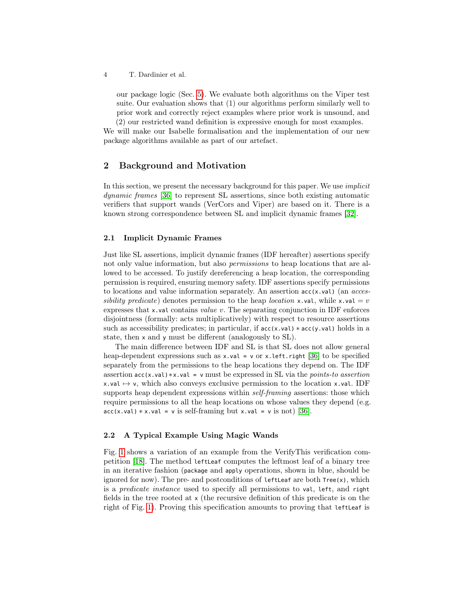our package logic (Sec. [5\)](#page-15-0). We evaluate both algorithms on the Viper test suite. Our evaluation shows that (1) our algorithms perform similarly well to prior work and correctly reject examples where prior work is unsound, and

(2) our restricted wand definition is expressive enough for most examples. We will make our Isabelle formalisation and the implementation of our new package algorithms available as part of our artefact.

# <span id="page-3-0"></span>2 Background and Motivation

In this section, we present the necessary background for this paper. We use implicit dynamic frames [\[36\]](#page-20-6) to represent SL assertions, since both existing automatic verifiers that support wands (VerCors and Viper) are based on it. There is a known strong correspondence between SL and implicit dynamic frames [\[32\]](#page-20-7).

#### <span id="page-3-1"></span>2.1 Implicit Dynamic Frames

Just like SL assertions, implicit dynamic frames (IDF hereafter) assertions specify not only value information, but also *permissions* to heap locations that are allowed to be accessed. To justify dereferencing a heap location, the corresponding permission is required, ensuring memory safety. IDF assertions specify permissions to locations and value information separately. An assertion  $acc(x.val)$  (an  $access$ sibility predicate) denotes permission to the heap location x.val, while x.val = v expresses that x.val contains value v. The separating conjunction in IDF enforces disjointness (formally: acts multiplicatively) with respect to resource assertions such as accessibility predicates; in particular, if  $acc(x, val) * acc(y, val)$  holds in a state, then x and y must be different (analogously to SL).

The main difference between IDF and SL is that SL does not allow general heap-dependent expressions such as  $x \cdot val = v$  or  $x \cdot left \cdot right$  [\[36\]](#page-20-6) to be specified separately from the permissions to the heap locations they depend on. The IDF assertion acc(x.val)∗x.val = v must be expressed in SL via the points-to assertion x.val  $\mapsto$  v, which also conveys exclusive permission to the location x.val. IDF supports heap dependent expressions within *self-framing* assertions: those which require permissions to all the heap locations on whose values they depend (e.g.  $acc(x.val) * x.val = v$  is self-framing but x.val = v is not) [\[36\]](#page-20-6).

### 2.2 A Typical Example Using Magic Wands

Fig. [1](#page-4-0) shows a variation of an example from the VerifyThis verification competition [\[18\]](#page-19-5). The method leftLeaf computes the leftmost leaf of a binary tree in an iterative fashion (package and apply operations, shown in blue, should be ignored for now). The pre- and postconditions of leftLeaf are both  $Tree(x)$ , which is a predicate instance used to specify all permissions to val, left, and right fields in the tree rooted at x (the recursive definition of this predicate is on the right of Fig. [1\)](#page-4-0). Proving this specification amounts to proving that leftLeaf is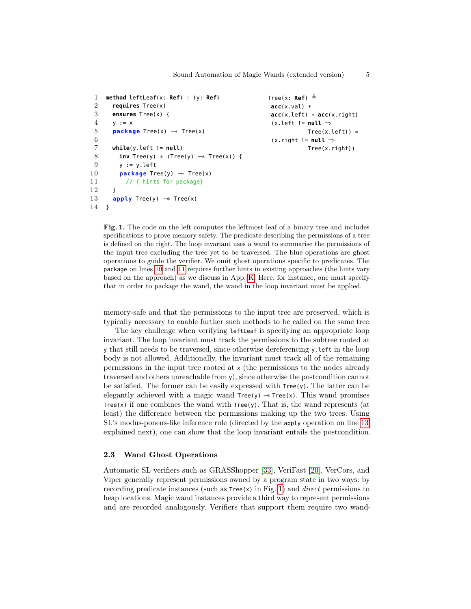```
1 method leftLeaf(x: Ref) : (y: Ref)
 2 requires Tree(x)
 3 ensures Tree(x) {
 4 \quad v := x5 package Tree(x) −∗ Tree(x)
 6
 7 while(y.left != null)
 8 inv Tree(y) ∗ (Tree(y) −∗ Tree(x)) {
 9 y := y.left
10 package Tree(y) → Tree(x)
11 // { hints for package}
12 \rightarrow13 apply Tree(y) → Tree(x)
14 }
```

```
Tree(x: Ref) \triangleqacc(x.val) *
acc(x.left) * acc(x.right)
 (x.left != null ⇒
            Tree(x.left)) *
 (x.right != null ⇒
            Tree(x.right))
```
<span id="page-4-3"></span><span id="page-4-2"></span><span id="page-4-1"></span><span id="page-4-0"></span>Fig. 1. The code on the left computes the leftmost leaf of a binary tree and includes specifications to prove memory safety. The predicate describing the permissions of a tree is defined on the right. The loop invariant uses a wand to summarise the permissions of the input tree excluding the tree yet to be traversed. The blue operations are ghost operations to guide the verifier. We omit ghost operations specific to predicates. The package on lines [10](#page-4-1) and [11](#page-4-2) requires further hints in existing approaches (the hints vary based on the approach) as we discuss in App. [K.](#page-32-0) Here, for instance, one must specify that in order to package the wand, the wand in the loop invariant must be applied.

memory-safe and that the permissions to the input tree are preserved, which is typically necessary to enable further such methods to be called on the same tree.

The key challenge when verifying leftLeaf is specifying an appropriate loop invariant. The loop invariant must track the permissions to the subtree rooted at y that still needs to be traversed, since otherwise dereferencing y.left in the loop body is not allowed. Additionally, the invariant must track all of the remaining permissions in the input tree rooted at x (the permissions to the nodes already traversed and others unreachable from y), since otherwise the postcondition cannot be satisfied. The former can be easily expressed with Tree(y). The latter can be elegantly achieved with a magic wand  $Tree(y) \rightarrow Tree(x)$ . This wand promises Tree(x) if one combines the wand with  $Tree(y)$ . That is, the wand represents (at least) the difference between the permissions making up the two trees. Using SL's modus-ponens-like inference rule (directed by the apply operation on line [13,](#page-4-3) explained next), one can show that the loop invariant entails the postcondition.

#### 2.3 Wand Ghost Operations

Automatic SL verifiers such as GRASShopper [\[33\]](#page-20-8), VeriFast [\[20\]](#page-19-6), VerCors, and Viper generally represent permissions owned by a program state in two ways: by recording predicate instances (such as  $Tree(x)$  in Fig. [1\)](#page-4-0) and *direct* permissions to heap locations. Magic wand instances provide a third way to represent permissions and are recorded analogously. Verifiers that support them require two wand-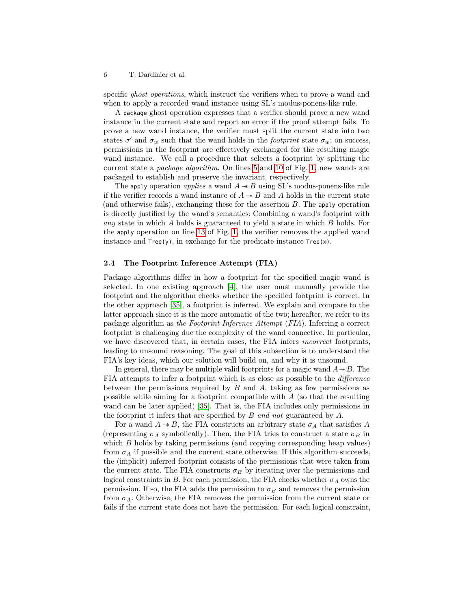specific *ghost operations*, which instruct the verifiers when to prove a wand and when to apply a recorded wand instance using SL's modus-ponens-like rule.

A package ghost operation expresses that a verifier should prove a new wand instance in the current state and report an error if the proof attempt fails. To prove a new wand instance, the verifier must split the current state into two states  $\sigma'$  and  $\sigma_w$  such that the wand holds in the *footprint* state  $\sigma_w$ ; on success, permissions in the footprint are effectively exchanged for the resulting magic wand instance. We call a procedure that selects a footprint by splitting the current state a package algorithm. On lines [5](#page-4-4) and [10](#page-4-1) of Fig. [1,](#page-4-0) new wands are packaged to establish and preserve the invariant, respectively.

The apply operation *applies* a wand  $A \rightarrow B$  using SL's modus-ponens-like rule if the verifier records a wand instance of  $A \rightarrow B$  and A holds in the current state (and otherwise fails), exchanging these for the assertion B. The apply operation is directly justified by the wand's semantics: Combining a wand's footprint with any state in which A holds is guaranteed to yield a state in which B holds. For the apply operation on line [13](#page-4-3) of Fig. [1,](#page-4-0) the verifier removes the applied wand instance and  $Tree(y)$ , in exchange for the predicate instance  $Tree(x)$ .

#### <span id="page-5-0"></span>2.4 The Footprint Inference Attempt (FIA)

Package algorithms differ in how a footprint for the specified magic wand is selected. In one existing approach [\[4\]](#page-18-3), the user must manually provide the footprint and the algorithm checks whether the specified footprint is correct. In the other approach [\[35\]](#page-20-4), a footprint is inferred. We explain and compare to the latter approach since it is the more automatic of the two; hereafter, we refer to its package algorithm as the Footprint Inference Attempt (FIA). Inferring a correct footprint is challenging due the complexity of the wand connective. In particular, we have discovered that, in certain cases, the FIA infers incorrect footprints, leading to unsound reasoning. The goal of this subsection is to understand the FIA's key ideas, which our solution will build on, and why it is unsound.

In general, there may be multiple valid footprints for a magic wand  $A \rightarrow B$ . The FIA attempts to infer a footprint which is as close as possible to the difference between the permissions required by  $B$  and  $A$ , taking as few permissions as possible while aiming for a footprint compatible with A (so that the resulting wand can be later applied) [\[35\]](#page-20-4). That is, the FIA includes only permissions in the footprint it infers that are specified by B and not guaranteed by A.

For a wand  $A \twoheadrightarrow B$ , the FIA constructs an arbitrary state  $\sigma_A$  that satisfies A (representing  $\sigma_A$  symbolically). Then, the FIA tries to construct a state  $\sigma_B$  in which B holds by taking permissions (and copying corresponding heap values) from  $\sigma_A$  if possible and the current state otherwise. If this algorithm succeeds, the (implicit) inferred footprint consists of the permissions that were taken from the current state. The FIA constructs  $\sigma_B$  by iterating over the permissions and logical constraints in B. For each permission, the FIA checks whether  $\sigma_A$  owns the permission. If so, the FIA adds the permission to  $\sigma_B$  and removes the permission from  $\sigma_A$ . Otherwise, the FIA removes the permission from the current state or fails if the current state does not have the permission. For each logical constraint,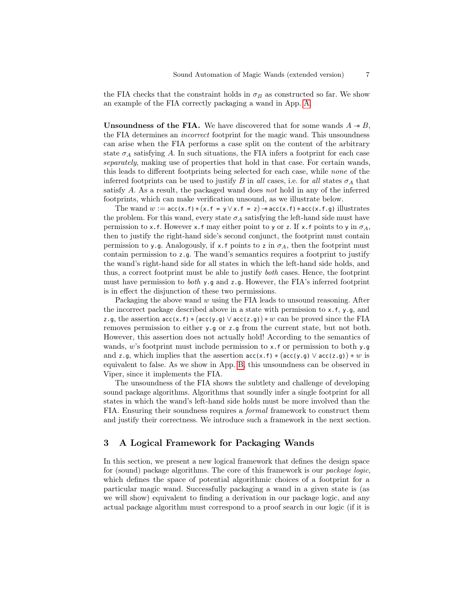the FIA checks that the constraint holds in  $\sigma_B$  as constructed so far. We show an example of the FIA correctly packaging a wand in App. [A.](#page-21-0)

<span id="page-6-1"></span>Unsoundness of the FIA. We have discovered that for some wands  $A \rightarrow B$ , the FIA determines an incorrect footprint for the magic wand. This unsoundness can arise when the FIA performs a case split on the content of the arbitrary state  $\sigma_A$  satisfying A. In such situations, the FIA infers a footprint for each case separately, making use of properties that hold in that case. For certain wands, this leads to different footprints being selected for each case, while none of the inferred footprints can be used to justify B in all cases, i.e. for all states  $\sigma_A$  that satisfy A. As a result, the packaged wand does not hold in any of the inferred footprints, which can make verification unsound, as we illustrate below.

The wand  $w := \text{acc}(x, f) * (x, f = y \lor x, f = z) \rightarrow \text{acc}(x, f) * \text{acc}(x, f, g)$  illustrates the problem. For this wand, every state  $\sigma_A$  satisfying the left-hand side must have permission to x.f. However x.f may either point to y or z. If x.f points to y in  $\sigma_A$ , then to justify the right-hand side's second conjunct, the footprint must contain permission to y.g. Analogously, if x.f points to z in  $\sigma_A$ , then the footprint must contain permission to z.g. The wand's semantics requires a footprint to justify the wand's right-hand side for all states in which the left-hand side holds, and thus, a correct footprint must be able to justify both cases. Hence, the footprint must have permission to *both*  $y$ , q and z, q. However, the FIA's inferred footprint is in effect the disjunction of these two permissions.

Packaging the above wand  $w$  using the FIA leads to unsound reasoning. After the incorrect package described above in a state with permission to  $x$ ,  $f$ ,  $y$ ,  $g$ , and z.g, the assertion  $\operatorname{acc}(x,f) * (\operatorname{acc}(y,g) \vee \operatorname{acc}(z,g)) * w$  can be proved since the FIA removes permission to either y.g or z.g from the current state, but not both. However, this assertion does not actually hold! According to the semantics of wands, w's footprint must include permission to x.f or permission to both y.g and z.g, which implies that the assertion  $acc(x.f)*(acc(y.g) \vee acc(z.g))*w$  is equivalent to false. As we show in App. [B,](#page-21-1) this unsoundness can be observed in Viper, since it implements the FIA.

The unsoundness of the FIA shows the subtlety and challenge of developing sound package algorithms. Algorithms that soundly infer a single footprint for all states in which the wand's left-hand side holds must be more involved than the FIA. Ensuring their soundness requires a formal framework to construct them and justify their correctness. We introduce such a framework in the next section.

# <span id="page-6-0"></span>3 A Logical Framework for Packaging Wands

In this section, we present a new logical framework that defines the design space for (sound) package algorithms. The core of this framework is our package logic, which defines the space of potential algorithmic choices of a footprint for a particular magic wand. Successfully packaging a wand in a given state is (as we will show) equivalent to finding a derivation in our package logic, and any actual package algorithm must correspond to a proof search in our logic (if it is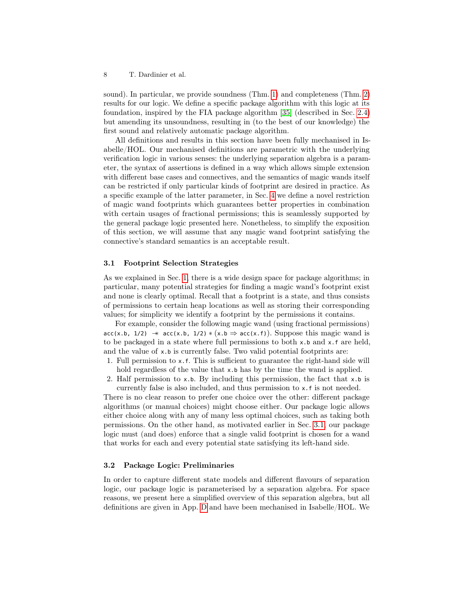sound). In particular, we provide soundness (Thm. [1\)](#page-11-0) and completeness (Thm. [2\)](#page-11-1) results for our logic. We define a specific package algorithm with this logic at its foundation, inspired by the FIA package algorithm [\[35\]](#page-20-4) (described in Sec. [2.4\)](#page-5-0) but amending its unsoundness, resulting in (to the best of our knowledge) the first sound and relatively automatic package algorithm.

All definitions and results in this section have been fully mechanised in Isabelle/HOL. Our mechanised definitions are parametric with the underlying verification logic in various senses: the underlying separation algebra is a parameter, the syntax of assertions is defined in a way which allows simple extension with different base cases and connectives, and the semantics of magic wands itself can be restricted if only particular kinds of footprint are desired in practice. As a specific example of the latter parameter, in Sec. [4](#page-12-0) we define a novel restriction of magic wand footprints which guarantees better properties in combination with certain usages of fractional permissions; this is seamlessly supported by the general package logic presented here. Nonetheless, to simplify the exposition of this section, we will assume that any magic wand footprint satisfying the connective's standard semantics is an acceptable result.

#### <span id="page-7-0"></span>3.1 Footprint Selection Strategies

As we explained in Sec. [1,](#page-0-0) there is a wide design space for package algorithms; in particular, many potential strategies for finding a magic wand's footprint exist and none is clearly optimal. Recall that a footprint is a state, and thus consists of permissions to certain heap locations as well as storing their corresponding values; for simplicity we identify a footprint by the permissions it contains.

For example, consider the following magic wand (using fractional permissions)  $\text{acc}(x.b, 1/2) \rightarrow \text{acc}(x.b, 1/2) \ast (x.b \Rightarrow \text{acc}(x.f)).$  Suppose this magic wand is to be packaged in a state where full permissions to both x.b and x.f are held, and the value of x.b is currently false. Two valid potential footprints are:

- 1. Full permission to x.f. This is sufficient to guarantee the right-hand side will hold regardless of the value that x.b has by the time the wand is applied.
- 2. Half permission to x.b. By including this permission, the fact that x.b is currently false is also included, and thus permission to x.f is not needed.

There is no clear reason to prefer one choice over the other: different package algorithms (or manual choices) might choose either. Our package logic allows either choice along with any of many less optimal choices, such as taking both permissions. On the other hand, as motivated earlier in Sec. [3.1,](#page-7-0) our package logic must (and does) enforce that a single valid footprint is chosen for a wand that works for each and every potential state satisfying its left-hand side.

#### 3.2 Package Logic: Preliminaries

In order to capture different state models and different flavours of separation logic, our package logic is parameterised by a separation algebra. For space reasons, we present here a simplified overview of this separation algebra, but all definitions are given in App. [D](#page-24-0) and have been mechanised in Isabelle/HOL. We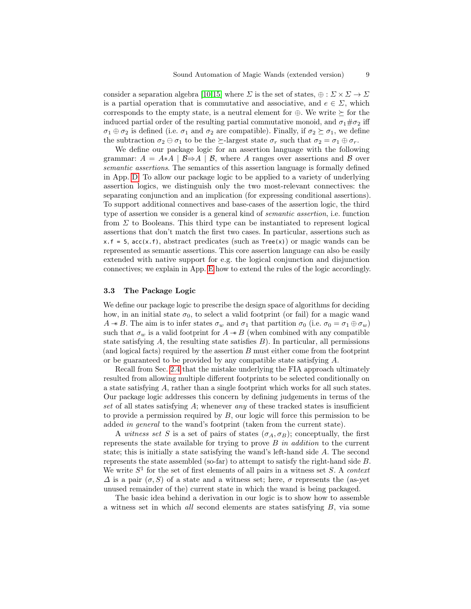consider a separation algebra [\[10,](#page-18-6)[15\]](#page-19-7) where  $\Sigma$  is the set of states,  $\oplus : \Sigma \times \Sigma \to \Sigma$ is a partial operation that is commutative and associative, and  $e \in \Sigma$ , which corresponds to the empty state, is a neutral element for  $\oplus$ . We write  $\succeq$  for the induced partial order of the resulting partial commutative monoid, and  $\sigma_1 \# \sigma_2$  iff  $\sigma_1 \oplus \sigma_2$  is defined (i.e.  $\sigma_1$  and  $\sigma_2$  are compatible). Finally, if  $\sigma_2 \succeq \sigma_1$ , we define the subtraction  $\sigma_2 \ominus \sigma_1$  to be the  $\succeq$ -largest state  $\sigma_r$  such that  $\sigma_2 = \sigma_1 \oplus \sigma_r$ .

We define our package logic for an assertion language with the following grammar:  $A = A * A | B \Rightarrow A | B$ , where A ranges over assertions and B over semantic assertions. The semantics of this assertion language is formally defined in App. [D.](#page-24-0) To allow our package logic to be applied to a variety of underlying assertion logics, we distinguish only the two most-relevant connectives: the separating conjunction and an implication (for expressing conditional assertions). To support additional connectives and base-cases of the assertion logic, the third type of assertion we consider is a general kind of semantic assertion, i.e. function from  $\Sigma$  to Booleans. This third type can be instantiated to represent logical assertions that don't match the first two cases. In particular, assertions such as  $x.f = 5$ ,  $acc(x.f)$ , abstract predicates (such as  $Tree(x)$ ) or magic wands can be represented as semantic assertions. This core assertion language can also be easily extended with native support for e.g. the logical conjunction and disjunction connectives; we explain in App. [E](#page-26-0) how to extend the rules of the logic accordingly.

#### 3.3 The Package Logic

We define our package logic to prescribe the design space of algorithms for deciding how, in an initial state  $\sigma_0$ , to select a valid footprint (or fail) for a magic wand  $A \rightarrow B$ . The aim is to infer states  $\sigma_w$  and  $\sigma_1$  that partition  $\sigma_0$  (i.e.  $\sigma_0 = \sigma_1 \oplus \sigma_w$ ) such that  $\sigma_w$  is a valid footprint for  $A \rightarrow B$  (when combined with any compatible state satisfying  $A$ , the resulting state satisfies  $B$ ). In particular, all permissions (and logical facts) required by the assertion  $B$  must either come from the footprint or be guaranteed to be provided by any compatible state satisfying A.

Recall from Sec. [2.4](#page-5-0) that the mistake underlying the FIA approach ultimately resulted from allowing multiple different footprints to be selected conditionally on a state satisfying A, rather than a single footprint which works for all such states. Our package logic addresses this concern by defining judgements in terms of the set of all states satisfying  $A$ ; whenever any of these tracked states is insufficient to provide a permission required by  $B$ , our logic will force this permission to be added in general to the wand's footprint (taken from the current state).

A witness set S is a set of pairs of states  $(\sigma_A, \sigma_B)$ ; conceptually, the first represents the state available for trying to prove  $B$  in addition to the current state; this is initially a state satisfying the wand's left-hand side A. The second represents the state assembled (so-far) to attempt to satisfy the right-hand side B. We write  $S<sup>1</sup>$  for the set of first elements of all pairs in a witness set S. A context  $\Delta$  is a pair  $(\sigma, S)$  of a state and a witness set; here,  $\sigma$  represents the (as-yet unused remainder of the) current state in which the wand is being packaged.

The basic idea behind a derivation in our logic is to show how to assemble a witness set in which all second elements are states satisfying B, via some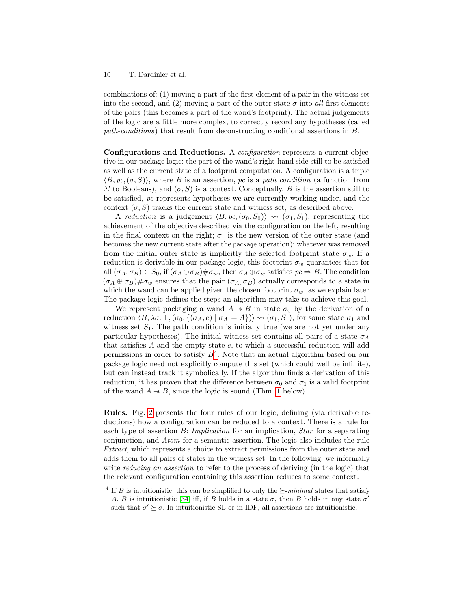combinations of: (1) moving a part of the first element of a pair in the witness set into the second, and (2) moving a part of the outer state  $\sigma$  into all first elements of the pairs (this becomes a part of the wand's footprint). The actual judgements of the logic are a little more complex, to correctly record any hypotheses (called path-conditions) that result from deconstructing conditional assertions in B.

Configurations and Reductions. A configuration represents a current objective in our package logic: the part of the wand's right-hand side still to be satisfied as well as the current state of a footprint computation. A configuration is a triple  $\langle B, pc, (\sigma, S) \rangle$ , where B is an assertion, pc is a path condition (a function from  $\Sigma$  to Booleans), and  $(\sigma, S)$  is a context. Conceptually, B is the assertion still to be satisfied, pc represents hypotheses we are currently working under, and the context  $(\sigma, S)$  tracks the current state and witness set, as described above.

A reduction is a judgement  $\langle B, pc, (\sigma_0, S_0) \rangle \rightsquigarrow (\sigma_1, S_1)$ , representing the achievement of the objective described via the configuration on the left, resulting in the final context on the right;  $\sigma_1$  is the new version of the outer state (and becomes the new current state after the package operation); whatever was removed from the initial outer state is implicitly the selected footprint state  $\sigma_w$ . If a reduction is derivable in our package logic, this footprint  $\sigma_w$  guarantees that for all  $(\sigma_A, \sigma_B) \in S_0$ , if  $(\sigma_A \oplus \sigma_B) \# \sigma_w$ , then  $\sigma_A \oplus \sigma_w$  satisfies  $pc \Rightarrow B$ . The condition  $(\sigma_A \oplus \sigma_B) \# \sigma_w$  ensures that the pair  $(\sigma_A, \sigma_B)$  actually corresponds to a state in which the wand can be applied given the chosen footprint  $\sigma_w$ , as we explain later. The package logic defines the steps an algorithm may take to achieve this goal.

We represent packaging a wand  $A \rightarrow B$  in state  $\sigma_0$  by the derivation of a reduction  $\langle B, \lambda \sigma, \top, (\sigma_0, \{(\sigma_A, e) | \sigma_A \models A\}) \rangle \rightsquigarrow (\sigma_1, S_1)$ , for some state  $\sigma_1$  and witness set  $S_1$ . The path condition is initially true (we are not yet under any particular hypotheses). The initial witness set contains all pairs of a state  $\sigma_A$ that satisfies  $A$  and the empty state  $e$ , to which a successful reduction will add permissions in order to satisfy  $B<sup>4</sup>$  $B<sup>4</sup>$  $B<sup>4</sup>$ . Note that an actual algorithm based on our package logic need not explicitly compute this set (which could well be infinite), but can instead track it symbolically. If the algorithm finds a derivation of this reduction, it has proven that the difference between  $\sigma_0$  and  $\sigma_1$  is a valid footprint of the wand  $A \rightarrow B$ , since the logic is sound (Thm. [1](#page-11-0) below).

Rules. Fig. [2](#page-10-0) presents the four rules of our logic, defining (via derivable reductions) how a configuration can be reduced to a context. There is a rule for each type of assertion B: *Implication* for an implication, *Star* for a separating conjunction, and Atom for a semantic assertion. The logic also includes the rule Extract, which represents a choice to extract permissions from the outer state and adds them to all pairs of states in the witness set. In the following, we informally write *reducing an assertion* to refer to the process of deriving (in the logic) that the relevant configuration containing this assertion reduces to some context.

<span id="page-9-0"></span><sup>&</sup>lt;sup>4</sup> If *B* is intuitionistic, this can be simplified to only the  $\succeq$ -minimal states that satisfy A. B is intuitionistic [\[34\]](#page-20-0) iff, if B holds in a state  $\sigma$ , then B holds in any state  $\sigma'$ 

such that  $\sigma' \succeq \sigma$ . In intuitionistic SL or in IDF, all assertions are intuitionistic.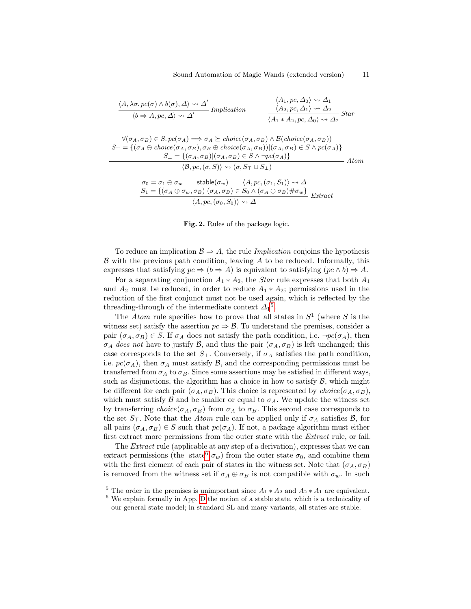$$
\frac{\langle A, \lambda \sigma. pc(\sigma) \wedge b(\sigma), \Delta \rangle \leadsto \Delta'}{\langle b \Rightarrow A, pc, \Delta \rangle \leadsto \Delta'} \text{ Implication} \qquad \frac{\langle A_1, pc, \Delta_0 \rangle \leadsto \Delta_1}{\langle A_2, pc, \Delta_1 \rangle \leadsto \Delta_2} \text{Star}
$$

$$
\forall (\sigma_A, \sigma_B) \in S. pc(\sigma_A) \Longrightarrow \sigma_A \succeq choice(\sigma_A, \sigma_B) \land \mathcal{B}(choice(\sigma_A, \sigma_B))
$$
  
\n
$$
S_{\top} = \{(\sigma_A \ominus choice(\sigma_A, \sigma_B), \sigma_B \oplus choice(\sigma_A, \sigma_B)) | (\sigma_A, \sigma_B) \in S \land pc(\sigma_A)\}
$$
  
\n
$$
S_{\bot} = \{(\sigma_A, \sigma_B) | (\sigma_A, \sigma_B) \in S \land \neg pc(\sigma_A)\}
$$
  
\n
$$
\langle \mathcal{B}, pc, (\sigma, S) \rangle \leadsto (\sigma, S_{\top} \cup S_{\bot})
$$
  
\n
$$
\land \mathcal{B} \rightarrow \mathcal{B} \rightarrow \mathcal{B} \rightarrow \mathcal{B} \rightarrow \mathcal{B} \rightarrow \mathcal{B} \rightarrow \mathcal{B} \rightarrow \mathcal{B} \rightarrow \mathcal{B} \rightarrow \mathcal{B} \rightarrow \mathcal{B} \rightarrow \mathcal{B} \rightarrow \mathcal{B} \rightarrow \mathcal{B} \rightarrow \mathcal{B} \rightarrow \mathcal{B} \rightarrow \mathcal{B} \rightarrow \mathcal{B} \rightarrow \mathcal{B} \rightarrow \mathcal{B} \rightarrow \mathcal{B} \rightarrow \mathcal{B} \rightarrow \mathcal{B} \rightarrow \mathcal{B} \rightarrow \mathcal{B} \rightarrow \mathcal{B} \rightarrow \mathcal{B} \rightarrow \mathcal{B} \rightarrow \mathcal{B} \rightarrow \mathcal{B} \rightarrow \mathcal{B} \rightarrow \mathcal{B} \rightarrow \mathcal{B} \rightarrow \mathcal{B} \rightarrow \mathcal{B} \rightarrow \mathcal{B} \rightarrow \mathcal{B} \rightarrow \mathcal{B} \rightarrow \mathcal{B} \rightarrow \mathcal{B} \rightarrow \mathcal{B} \rightarrow \mathcal{B} \rightarrow \mathcal{B} \rightarrow \mathcal{B} \rightarrow \mathcal{B} \rightarrow \mathcal{B} \rightarrow \mathcal{B} \rightarrow \mathcal{B} \rightarrow \mathcal{B} \rightarrow \mathcal{B} \rightarrow \mathcal{B} \rightarrow \mathcal{B} \rightarrow \mathcal{B} \rightarrow \mathcal{B} \rightarrow \mathcal{B} \rightarrow \mathcal{B} \rightarrow \mathcal{B} \rightarrow \mathcal{B} \rightarrow \mathcal{B} \rightarrow \mathcal{B} \rightarrow \mathcal{B} \rightarrow \mathcal{B} \rightarrow \mathcal{B} \rightarrow \mathcal{B} \rightarrow \mathcal{B} \rightarrow \mathcal{B} \rightarrow
$$

$$
\sigma_0 = \sigma_1 \oplus \sigma_w \qquad \text{stable}(\sigma_w) \qquad \langle A, pc, (\sigma_1, S_1) \rangle \rightsquigarrow \Delta
$$
  

$$
\frac{S_1 = \{(\sigma_A \oplus \sigma_w, \sigma_B) | (\sigma_A, \sigma_B) \in S_0 \land (\sigma_A \oplus \sigma_B) \# \sigma_w\}}{\langle A, pc, (\sigma_0, S_0) \rangle \rightsquigarrow \Delta} \quad \text{Extract}
$$

#### <span id="page-10-0"></span>Fig. 2. Rules of the package logic.

To reduce an implication  $\mathcal{B} \Rightarrow A$ , the rule *Implication* conjoins the hypothesis  $\beta$  with the previous path condition, leaving  $A$  to be reduced. Informally, this expresses that satisfying  $pc \Rightarrow (b \Rightarrow A)$  is equivalent to satisfying  $(pc \land b) \Rightarrow A$ .

For a separating conjunction  $A_1 * A_2$ , the *Star* rule expresses that both  $A_1$ and  $A_2$  must be reduced, in order to reduce  $A_1 * A_2$ ; permissions used in the reduction of the first conjunct must not be used again, which is reflected by the threading-through of the intermediate context  $\Delta_1^5$  $\Delta_1^5$ .

The *Atom* rule specifies how to prove that all states in  $S^1$  (where S is the witness set) satisfy the assertion  $pc \Rightarrow \mathcal{B}$ . To understand the premises, consider a pair  $(\sigma_A, \sigma_B) \in S$ . If  $\sigma_A$  does not satisfy the path condition, i.e.  $\neg pc(\sigma_A)$ , then  $\sigma_A$  does not have to justify B, and thus the pair  $(\sigma_A, \sigma_B)$  is left unchanged; this case corresponds to the set  $S_{\perp}$ . Conversely, if  $\sigma_A$  satisfies the path condition, i.e.  $pc(\sigma_A)$ , then  $\sigma_A$  must satisfy B, and the corresponding permissions must be transferred from  $\sigma_A$  to  $\sigma_B$ . Since some assertions may be satisfied in different ways, such as disjunctions, the algorithm has a choice in how to satisfy  $\beta$ , which might be different for each pair  $(\sigma_A, \sigma_B)$ . This choice is represented by *choice*( $\sigma_A, \sigma_B$ ), which must satisfy  $\beta$  and be smaller or equal to  $\sigma_A$ . We update the witness set by transferring  $choice(\sigma_A, \sigma_B)$  from  $\sigma_A$  to  $\sigma_B$ . This second case corresponds to the set  $S_{\top}$ . Note that the Atom rule can be applied only if  $\sigma_A$  satisfies  $\mathcal{B}$ , for all pairs  $(\sigma_A, \sigma_B) \in S$  such that  $pc(\sigma_A)$ . If not, a package algorithm must either first extract more permissions from the outer state with the Extract rule, or fail.

The Extract rule (applicable at any step of a derivation), expresses that we can extract permissions (the state<sup>[6](#page-10-2)</sup>  $\sigma_w$ ) from the outer state  $\sigma_0$ , and combine them with the first element of each pair of states in the witness set. Note that  $(\sigma_A, \sigma_B)$ is removed from the witness set if  $\sigma_A \oplus \sigma_B$  is not compatible with  $\sigma_w$ . In such

<span id="page-10-1"></span><sup>&</sup>lt;sup>5</sup> The order in the premises is unimportant since  $A_1 * A_2$  and  $A_2 * A_1$  are equivalent.

<span id="page-10-2"></span> $6$  We explain formally in App. [D](#page-24-0) the notion of a stable state, which is a technicality of our general state model; in standard SL and many variants, all states are stable.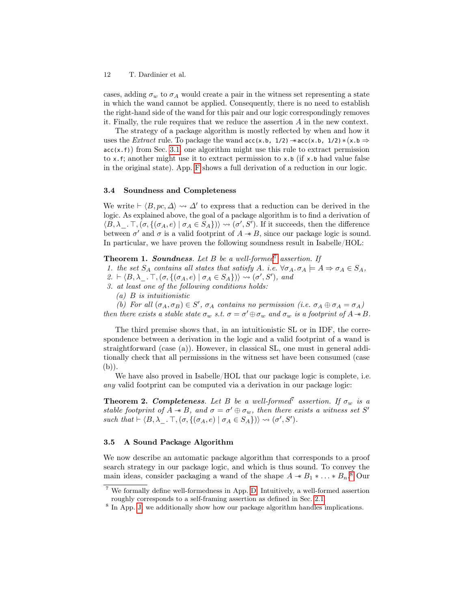cases, adding  $\sigma_w$  to  $\sigma_A$  would create a pair in the witness set representing a state in which the wand cannot be applied. Consequently, there is no need to establish the right-hand side of the wand for this pair and our logic correspondingly removes it. Finally, the rule requires that we reduce the assertion A in the new context.

The strategy of a package algorithm is mostly reflected by when and how it uses the Extract rule. To package the wand  $acc(x.b, 1/2) \rightarrow acc(x.b, 1/2) * (x.b \Rightarrow$  $acc(x, f)$  from Sec. [3.1.](#page-7-0) one algorithm might use this rule to extract permission to x.f; another might use it to extract permission to  $x.b$  (if  $x.b$  had value false in the original state). App. [F](#page-27-0) shows a full derivation of a reduction in our logic.

#### 3.4 Soundness and Completeness

We write  $\vdash \langle B, pc, \Delta \rangle \leadsto \Delta'$  to express that a reduction can be derived in the logic. As explained above, the goal of a package algorithm is to find a derivation of  $\langle B, \lambda \dots \top, (\sigma, \{(\sigma_A, e) \mid \sigma_A \in S_A \}) \rangle \rightsquigarrow (\sigma', S')$ . If it succeeds, then the difference between  $\sigma'$  and  $\sigma$  is a valid footprint of  $A \rightarrow B$ , since our package logic is sound. In particular, we have proven the following soundness result in Isabelle/HOL:

# <span id="page-11-0"></span>**Theorem 1. Soundness**. Let  $B$  be a well-formed<sup>[7](#page-11-2)</sup> assertion. If

1. the set  $S_A$  contains all states that satisfy A. i.e.  $\forall \sigma_A \cdot \sigma_A \models A \Rightarrow \sigma_A \in S_A$ ,

- 2.  $\vdash \langle B, \lambda \_ \cdot \top, (\sigma, \{(\sigma_A, e) \mid \sigma_A \in S_A\}) \rangle \rightsquigarrow (\sigma', S'),$  and
- 3. at least one of the following conditions holds:
	- $(a)$  B is intuitionistic

(b) For all  $(\sigma_A, \sigma_B) \in S'$ ,  $\sigma_A$  contains no permission (i.e.  $\sigma_A \oplus \sigma_A = \sigma_A$ ) then there exists a stable state  $\sigma_w$  s.t.  $\sigma = \sigma' \oplus \sigma_w$  and  $\sigma_w$  is a footprint of  $A \twoheadrightarrow B$ .

The third premise shows that, in an intuitionistic SL or in IDF, the correspondence between a derivation in the logic and a valid footprint of a wand is straightforward (case (a)). However, in classical SL, one must in general additionally check that all permissions in the witness set have been consumed (case (b)).

We have also proved in Isabelle/HOL that our package logic is complete, i.e. any valid footprint can be computed via a derivation in our package logic:

<span id="page-11-1"></span>**Theorem 2. Completeness.** Let B be a well-formed<sup>7</sup> assertion. If  $\sigma_w$  is a stable footprint of  $A \twoheadrightarrow B$ , and  $\sigma = \sigma' \oplus \sigma_w$ , then there exists a witness set S' such that  $\vdash \langle B, \lambda \_ \cdot \top, (\sigma, \{(\sigma_A, e) \mid \sigma_A \in S_A\}) \rangle \rightsquigarrow (\sigma', S').$ 

#### <span id="page-11-4"></span>3.5 A Sound Package Algorithm

We now describe an automatic package algorithm that corresponds to a proof search strategy in our package logic, and which is thus sound. To convey the main ideas, consider packaging a wand of the shape  $A \twoheadrightarrow B_1 \times ... \times B_n$ .<sup>[8](#page-11-3)</sup> Our

<span id="page-11-2"></span><sup>7</sup> We formally define well-formedness in App. [D.](#page-24-0) Intuitively, a well-formed assertion roughly corresponds to a self-framing assertion as defined in Sec. [2.1.](#page-3-1)

<span id="page-11-3"></span><sup>&</sup>lt;sup>8</sup> In App. [J,](#page-31-0) we additionally show how our package algorithm handles implications.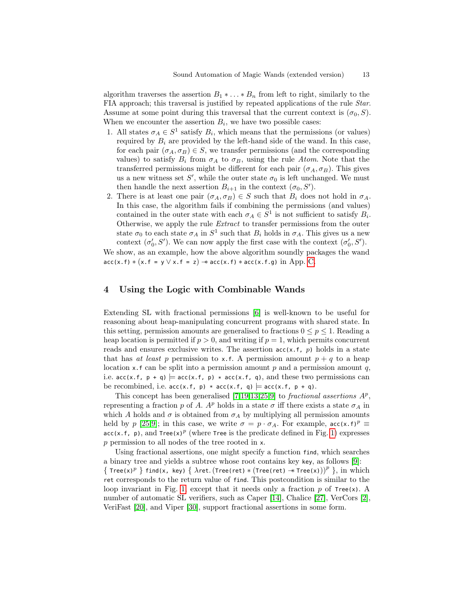algorithm traverses the assertion  $B_1 * \ldots * B_n$  from left to right, similarly to the FIA approach; this traversal is justified by repeated applications of the rule Star. Assume at some point during this traversal that the current context is  $(\sigma_0, S)$ . When we encounter the assertion  $B_i$ , we have two possible cases:

- 1. All states  $\sigma_A \in S^1$  satisfy  $B_i$ , which means that the permissions (or values) required by  $B_i$  are provided by the left-hand side of the wand. In this case, for each pair  $(\sigma_A, \sigma_B) \in S$ , we transfer permissions (and the corresponding values) to satisfy  $B_i$  from  $\sigma_A$  to  $\sigma_B$ , using the rule Atom. Note that the transferred permissions might be different for each pair  $(\sigma_A, \sigma_B)$ . This gives us a new witness set  $S'$ , while the outer state  $\sigma_0$  is left unchanged. We must then handle the next assertion  $B_{i+1}$  in the context  $(\sigma_0, S')$ .
- 2. There is at least one pair  $(\sigma_A, \sigma_B) \in S$  such that  $B_i$  does not hold in  $\sigma_A$ . In this case, the algorithm fails if combining the permissions (and values) contained in the outer state with each  $\sigma_A \in S^1$  is not sufficient to satisfy  $B_i$ . Otherwise, we apply the rule Extract to transfer permissions from the outer state  $\sigma_0$  to each state  $\sigma_A$  in  $S^1$  such that  $B_i$  holds in  $\sigma_A$ . This gives us a new context  $(\sigma'_0, S')$ . We can now apply the first case with the context  $(\sigma'_0, S')$ .

We show, as an example, how the above algorithm soundly packages the wand  $\texttt{acc}(x.f) * (x.f = y \lor x.f = z) \rightarrow \texttt{acc}(x.f) * \texttt{acc}(x.f.g) \text{ in App. C.}$  $\texttt{acc}(x.f) * (x.f = y \lor x.f = z) \rightarrow \texttt{acc}(x.f) * \texttt{acc}(x.f.g) \text{ in App. C.}$  $\texttt{acc}(x.f) * (x.f = y \lor x.f = z) \rightarrow \texttt{acc}(x.f) * \texttt{acc}(x.f.g) \text{ in App. C.}$ 

### <span id="page-12-0"></span>4 Using the Logic with Combinable Wands

Extending SL with fractional permissions [\[6\]](#page-18-7) is well-known to be useful for reasoning about heap-manipulating concurrent programs with shared state. In this setting, permission amounts are generalised to fractions  $0 \leq p \leq 1$ . Reading a heap location is permitted if  $p > 0$ , and writing if  $p = 1$ , which permits concurrent reads and ensures exclusive writes. The assertion  $acc(x.f, p)$  holds in a state that has at least p permission to x.f. A permission amount  $p + q$  to a heap location x.f can be split into a permission amount  $p$  and a permission amount  $q$ , i.e.  $acc(x.f, p + q)$  =  $acc(x.f, p) * acc(x.f, q)$ , and these two permissions can be recombined, i.e.  $\text{acc}(x.f, p) * \text{acc}(x.f, q) \models \text{acc}(x.f, p + q)$ .

This concept has been generalised  $[7,19,13,25,9]$  $[7,19,13,25,9]$  $[7,19,13,25,9]$  $[7,19,13,25,9]$  $[7,19,13,25,9]$  to *fractional assertions AP*, representing a fraction p of A.  $A^p$  holds in a state  $\sigma$  iff there exists a state  $\sigma_A$  in which A holds and  $\sigma$  is obtained from  $\sigma_A$  by multiplying all permission amounts held by p [\[25](#page-19-4)[,9\]](#page-18-9); in this case, we write  $\sigma = p \cdot \sigma_A$ . For example,  $\operatorname{acc}(x, f)^p \equiv$ acc(x.f, p), and Tree(x)<sup>p</sup> (where Tree is the predicate defined in Fig. [1\)](#page-4-0) expresses p permission to all nodes of the tree rooted in x.

Using fractional assertions, one might specify a function find, which searches a binary tree and yields a subtree whose root contains key key, as follows [\[9\]](#page-18-9): { Tree(x)<sup>p</sup> } find(x, key) {  $\lambda$ ret.(Tree(ret) \* (Tree(ret)  $*$  Tree(x)))<sup>p</sup> }, in which ret corresponds to the return value of find. This postcondition is similar to the loop invariant in Fig. [1,](#page-4-0) except that it needs only a fraction p of  $Tree(x)$ . A number of automatic SL verifiers, such as Caper [\[14\]](#page-19-10), Chalice [\[27\]](#page-19-11), VerCors [\[2\]](#page-18-10), VeriFast [\[20\]](#page-19-6), and Viper [\[30\]](#page-20-5), support fractional assertions in some form.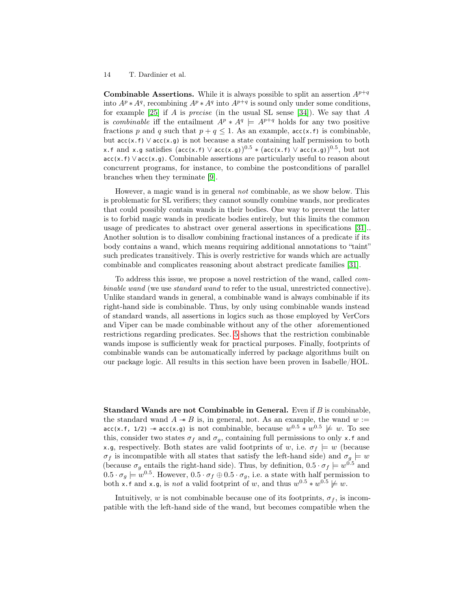**Combinable Assertions.** While it is always possible to split an assertion  $A^{p+q}$ into  $A^p * A^q$ , recombining  $A^p * A^q$  into  $A^{p+q}$  is sound only under some conditions, for example [\[25\]](#page-19-4) if A is *precise* (in the usual SL sense [\[34\]](#page-20-0)). We say that A is combinable iff the entailment  $A^p * A^q = A^{p+q}$  holds for any two positive fractions p and q such that  $p + q \leq 1$ . As an example,  $\text{acc}(x, f)$  is combinable, but  $acc(x, f) \vee acc(x, g)$  is not because a state containing half permission to both x.f and x.g satisfies (acc(x.f)  $\vee$  acc(x.g)) $^{0.5}$   $\ast$  (acc(x.f)  $\vee$  acc(x.g)) $^{0.5},$  but not acc(x.f)∨acc(x.g). Combinable assertions are particularly useful to reason about concurrent programs, for instance, to combine the postconditions of parallel branches when they terminate [\[9\]](#page-18-9).

However, a magic wand is in general not combinable, as we show below. This is problematic for SL verifiers; they cannot soundly combine wands, nor predicates that could possibly contain wands in their bodies. One way to prevent the latter is to forbid magic wands in predicate bodies entirely, but this limits the common usage of predicates to abstract over general assertions in specifications [\[31\]](#page-20-9).. Another solution is to disallow combining fractional instances of a predicate if its body contains a wand, which means requiring additional annotations to "taint" such predicates transitively. This is overly restrictive for wands which are actually combinable and complicates reasoning about abstract predicate families [\[31\]](#page-20-9).

To address this issue, we propose a novel restriction of the wand, called combinable wand (we use standard wand to refer to the usual, unrestricted connective). Unlike standard wands in general, a combinable wand is always combinable if its right-hand side is combinable. Thus, by only using combinable wands instead of standard wands, all assertions in logics such as those employed by VerCors and Viper can be made combinable without any of the other aforementioned restrictions regarding predicates. Sec. [5](#page-15-0) shows that the restriction combinable wands impose is sufficiently weak for practical purposes. Finally, footprints of combinable wands can be automatically inferred by package algorithms built on our package logic. All results in this section have been proven in Isabelle/HOL.

Standard Wands are not Combinable in General. Even if B is combinable, the standard wand  $A \twoheadrightarrow B$  is, in general, not. As an example, the wand  $w :=$ acc(x.f, 1/2) → acc(x.g) is not combinable, because  $w^{0.5} * w^{0.5} \not\models w$ . To see this, consider two states  $\sigma_f$  and  $\sigma_g$ , containing full permissions to only x.f and x.g, respectively. Both states are valid footprints of w, i.e.  $\sigma_f \models w$  (because  $\sigma_f$  is incompatible with all states that satisfy the left-hand side) and  $\sigma_g \models w$ (because  $\sigma_g$  entails the right-hand side). Thus, by definition,  $0.5 \cdot \sigma_f \models w^{0.5}$  and  $0.5 \cdot \sigma_g \models w^{0.5}$ . However,  $0.5 \cdot \sigma_f \oplus 0.5 \cdot \sigma_g$ , i.e. a state with half permission to both x.f and x.g, is *not* a valid footprint of w, and thus  $w^{0.5} * w^{0.5} \neq w$ .

Intuitively, w is not combinable because one of its footprints,  $\sigma_f$ , is incompatible with the left-hand side of the wand, but becomes compatible when the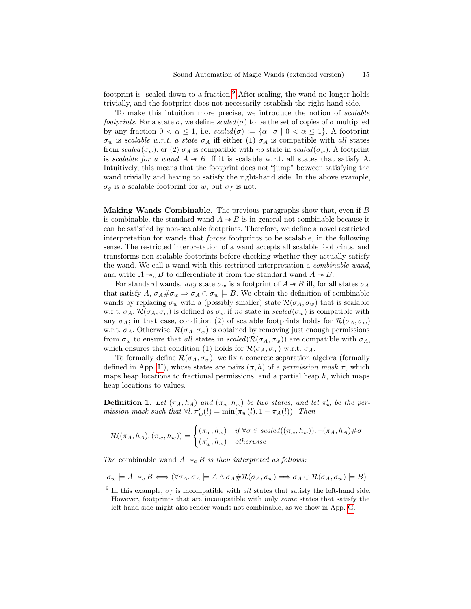footprint is scaled down to a fraction.<sup>[9](#page-14-0)</sup> After scaling, the wand no longer holds trivially, and the footprint does not necessarily establish the right-hand side.

To make this intuition more precise, we introduce the notion of scalable footprints. For a state  $\sigma$ , we define scaled( $\sigma$ ) to be the set of copies of  $\sigma$  multiplied by any fraction  $0 < \alpha \leq 1$ , i.e.  $scaled(\sigma) := {\alpha \cdot \sigma \mid 0 < \alpha \leq 1}$ . A footprint  $\sigma_w$  is scalable w.r.t. a state  $\sigma_A$  iff either (1)  $\sigma_A$  is compatible with all states from scaled( $\sigma_w$ ), or (2)  $\sigma_A$  is compatible with no state in scaled( $\sigma_w$ ). A footprint is scalable for a wand  $A \rightarrow B$  iff it is scalable w.r.t. all states that satisfy A. Intuitively, this means that the footprint does not "jump" between satisfying the wand trivially and having to satisfy the right-hand side. In the above example,  $\sigma_q$  is a scalable footprint for w, but  $\sigma_f$  is not.

<span id="page-14-2"></span>**Making Wands Combinable.** The previous paragraphs show that, even if  $B$ is combinable, the standard wand  $A \rightarrow B$  is in general not combinable because it can be satisfied by non-scalable footprints. Therefore, we define a novel restricted interpretation for wands that forces footprints to be scalable, in the following sense. The restricted interpretation of a wand accepts all scalable footprints, and transforms non-scalable footprints before checking whether they actually satisfy the wand. We call a wand with this restricted interpretation a combinable wand, and write  $A \twoheadrightarrow_c B$  to differentiate it from the standard wand  $A \twoheadrightarrow B$ .

For standard wands, any state  $\sigma_w$  is a footprint of  $A \rightarrow B$  iff, for all states  $\sigma_A$ that satisfy A,  $\sigma_A \# \sigma_w \Rightarrow \sigma_A \oplus \sigma_w \models B$ . We obtain the definition of combinable wands by replacing  $\sigma_w$  with a (possibly smaller) state  $\mathcal{R}(\sigma_A, \sigma_w)$  that is scalable w.r.t.  $\sigma_A$ .  $\mathcal{R}(\sigma_A, \sigma_w)$  is defined as  $\sigma_w$  if no state in scaled( $\sigma_w$ ) is compatible with any  $\sigma_A$ ; in that case, condition (2) of scalable footprints holds for  $\mathcal{R}(\sigma_A, \sigma_w)$ w.r.t.  $\sigma_A$ . Otherwise,  $\mathcal{R}(\sigma_A, \sigma_w)$  is obtained by removing just enough permissions from  $\sigma_w$  to ensure that all states in scaled( $\mathcal{R}(\sigma_A, \sigma_w)$ ) are compatible with  $\sigma_A$ , which ensures that condition (1) holds for  $\mathcal{R}(\sigma_A, \sigma_w)$  w.r.t.  $\sigma_A$ .

To formally define  $\mathcal{R}(\sigma_A, \sigma_w)$ , we fix a concrete separation algebra (formally defined in App. [H\)](#page-29-0), whose states are pairs  $(\pi, h)$  of a *permission mask*  $\pi$ , which maps heap locations to fractional permissions, and a partial heap  $h$ , which maps heap locations to values.

<span id="page-14-1"></span>**Definition 1.** Let  $(\pi_A, h_A)$  and  $(\pi_w, h_w)$  be two states, and let  $\pi'_w$  be the permission mask such that  $\forall l$ .  $\pi'_w(l) = \min(\pi_w(l), 1 - \pi_A(l))$ . Then

$$
\mathcal{R}((\pi_A, h_A), (\pi_w, h_w)) = \begin{cases} (\pi_w, h_w) & \text{if } \forall \sigma \in scaled((\pi_w, h_w)) \cdot \neg(\pi_A, h_A) \# \sigma \\ (\pi'_w, h_w) & \text{otherwise} \end{cases}
$$

The combinable wand  $A \rightarrow c B$  is then interpreted as follows:

$$
\sigma_w \models A \ast_c B \Longleftrightarrow (\forall \sigma_A \ldotp \sigma_A \models A \land \sigma_A \# \mathcal{R}(\sigma_A, \sigma_w) \Longrightarrow \sigma_A \oplus \mathcal{R}(\sigma_A, \sigma_w) \models B)
$$

<span id="page-14-0"></span><sup>&</sup>lt;sup>9</sup> In this example,  $\sigma_f$  is incompatible with all states that satisfy the left-hand side. However, footprints that are incompatible with only some states that satisfy the left-hand side might also render wands not combinable, as we show in App. [G.](#page-29-1)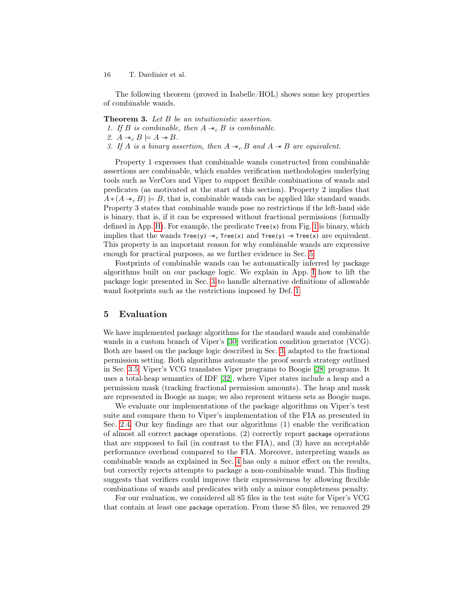The following theorem (proved in Isabelle/HOL) shows some key properties of combinable wands.

Theorem 3. Let B be an intuitionistic assertion.

- 1. If B is combinable, then  $A \twoheadrightarrow_c B$  is combinable.
- 2.  $A \twoheadrightarrow_c B \models A \twoheadrightarrow B$ .
- 3. If A is a binary assertion, then  $A \twoheadrightarrow_c B$  and  $A \twoheadrightarrow B$  are equivalent.

Property 1 expresses that combinable wands constructed from combinable assertions are combinable, which enables verification methodologies underlying tools such as VerCors and Viper to support flexible combinations of wands and predicates (as motivated at the start of this section). Property 2 implies that  $A*(A \ast_{c} B) \models B$ , that is, combinable wands can be applied like standard wands. Property 3 states that combinable wands pose no restrictions if the left-hand side is binary, that is, if it can be expressed without fractional permissions (formally defined in App. [H\)](#page-29-0). For example, the predicate  $Tree(x)$  from Fig. [1](#page-4-0) is binary, which implies that the wands  $Tree(y) \rightarrow c$  Tree(x) and Tree(y)  $\rightarrow$  Tree(x) are equivalent. This property is an important reason for why combinable wands are expressive enough for practical purposes, as we further evidence in Sec. [5.](#page-15-0)

Footprints of combinable wands can be automatically inferred by package algorithms built on our package logic. We explain in App. [I](#page-30-0) how to lift the package logic presented in Sec. [3](#page-6-0) to handle alternative definitions of allowable wand footprints such as the restrictions imposed by Def. [1.](#page-14-1)

#### <span id="page-15-0"></span>5 Evaluation

We have implemented package algorithms for the standard wands and combinable wands in a custom branch of Viper's [\[30\]](#page-20-5) verification condition generator (VCG). Both are based on the package logic described in Sec. [3,](#page-6-0) adapted to the fractional permission setting. Both algorithms automate the proof search strategy outlined in Sec. [3.5.](#page-11-4) Viper's VCG translates Viper programs to Boogie [\[28\]](#page-19-12) programs. It uses a total-heap semantics of IDF [\[32\]](#page-20-7), where Viper states include a heap and a permission mask (tracking fractional permission amounts). The heap and mask are represented in Boogie as maps; we also represent witness sets as Boogie maps.

We evaluate our implementations of the package algorithms on Viper's test suite and compare them to Viper's implementation of the FIA as presented in Sec. [2.4.](#page-5-0) Our key findings are that our algorithms (1) enable the verification of almost all correct package operations. (2) correctly report package operations that are supposed to fail (in contrast to the FIA), and (3) have an acceptable performance overhead compared to the FIA. Moreover, interpreting wands as combinable wands as explained in Sec. [4](#page-14-2) has only a minor effect on the results, but correctly rejects attempts to package a non-combinable wand. This finding suggests that verifiers could improve their expressiveness by allowing flexible combinations of wands and predicates with only a minor completeness penalty.

For our evaluation, we considered all 85 files in the test suite for Viper's VCG that contain at least one package operation. From these 85 files, we removed 29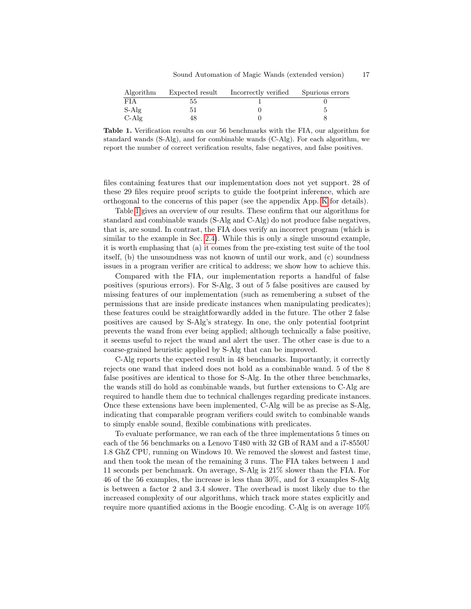| Algorithm  | Expected result | Incorrectly verified | Spurious errors |
|------------|-----------------|----------------------|-----------------|
| <b>FIA</b> | 55              |                      |                 |
| S-Alg      |                 |                      |                 |
| $C-Alg$    | 4Χ              |                      |                 |

<span id="page-16-0"></span>Table 1. Verification results on our 56 benchmarks with the FIA, our algorithm for standard wands (S-Alg), and for combinable wands (C-Alg). For each algorithm, we report the number of correct verification results, false negatives, and false positives.

files containing features that our implementation does not yet support. 28 of these 29 files require proof scripts to guide the footprint inference, which are orthogonal to the concerns of this paper (see the appendix App. [K](#page-32-0) for details).

Table [1](#page-16-0) gives an overview of our results. These confirm that our algorithms for standard and combinable wands (S-Alg and C-Alg) do not produce false negatives, that is, are sound. In contrast, the FIA does verify an incorrect program (which is similar to the example in Sec. [2.4\)](#page-5-0). While this is only a single unsound example, it is worth emphasing that (a) it comes from the pre-existing test suite of the tool itself, (b) the unsoundness was not known of until our work, and (c) soundness issues in a program verifier are critical to address; we show how to achieve this.

Compared with the FIA, our implementation reports a handful of false positives (spurious errors). For S-Alg, 3 out of 5 false positives are caused by missing features of our implementation (such as remembering a subset of the permissions that are inside predicate instances when manipulating predicates); these features could be straightforwardly added in the future. The other 2 false positives are caused by S-Alg's strategy. In one, the only potential footprint prevents the wand from ever being applied; although technically a false positive, it seems useful to reject the wand and alert the user. The other case is due to a coarse-grained heuristic applied by S-Alg that can be improved.

C-Alg reports the expected result in 48 benchmarks. Importantly, it correctly rejects one wand that indeed does not hold as a combinable wand. 5 of the 8 false positives are identical to those for S-Alg. In the other three benchmarks, the wands still do hold as combinable wands, but further extensions to C-Alg are required to handle them due to technical challenges regarding predicate instances. Once these extensions have been implemented, C-Alg will be as precise as S-Alg, indicating that comparable program verifiers could switch to combinable wands to simply enable sound, flexible combinations with predicates.

To evaluate performance, we ran each of the three implementations 5 times on each of the 56 benchmarks on a Lenovo T480 with 32 GB of RAM and a i7-8550U 1.8 GhZ CPU, running on Windows 10. We removed the slowest and fastest time, and then took the mean of the remaining 3 runs. The FIA takes between 1 and 11 seconds per benchmark. On average, S-Alg is 21% slower than the FIA. For 46 of the 56 examples, the increase is less than 30%, and for 3 examples S-Alg is between a factor 2 and 3.4 slower. The overhead is most likely due to the increased complexity of our algorithms, which track more states explicitly and require more quantified axioms in the Boogie encoding. C-Alg is on average 10%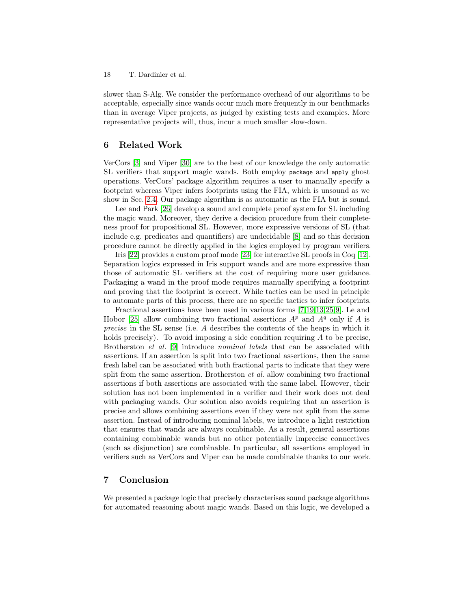slower than S-Alg. We consider the performance overhead of our algorithms to be acceptable, especially since wands occur much more frequently in our benchmarks than in average Viper projects, as judged by existing tests and examples. More representative projects will, thus, incur a much smaller slow-down.

# 6 Related Work

VerCors [\[3\]](#page-18-4) and Viper [\[30\]](#page-20-5) are to the best of our knowledge the only automatic SL verifiers that support magic wands. Both employ package and apply ghost operations. VerCors' package algorithm requires a user to manually specify a footprint whereas Viper infers footprints using the FIA, which is unsound as we show in Sec. [2.4.](#page-5-0) Our package algorithm is as automatic as the FIA but is sound.

Lee and Park [\[26\]](#page-19-13) develop a sound and complete proof system for SL including the magic wand. Moreover, they derive a decision procedure from their completeness proof for propositional SL. However, more expressive versions of SL (that include e.g. predicates and quantifiers) are undecidable [\[8\]](#page-18-2) and so this decision procedure cannot be directly applied in the logics employed by program verifiers.

Iris [\[22\]](#page-19-14) provides a custom proof mode [\[23\]](#page-19-15) for interactive SL proofs in Coq [\[12\]](#page-19-16). Separation logics expressed in Iris support wands and are more expressive than those of automatic SL verifiers at the cost of requiring more user guidance. Packaging a wand in the proof mode requires manually specifying a footprint and proving that the footprint is correct. While tactics can be used in principle to automate parts of this process, there are no specific tactics to infer footprints.

Fractional assertions have been used in various forms [\[7](#page-18-8)[,19,](#page-19-8)[13,](#page-19-9)[25,](#page-19-4)[9\]](#page-18-9). Le and Hobor [\[25\]](#page-19-4) allow combining two fractional assertions  $A^p$  and  $A^q$  only if A is precise in the SL sense (i.e. A describes the contents of the heaps in which it holds precisely). To avoid imposing a side condition requiring  $A$  to be precise, Brotherston *et al.* [\[9\]](#page-18-9) introduce *nominal labels* that can be associated with assertions. If an assertion is split into two fractional assertions, then the same fresh label can be associated with both fractional parts to indicate that they were split from the same assertion. Brotherston *et al.* allow combining two fractional assertions if both assertions are associated with the same label. However, their solution has not been implemented in a verifier and their work does not deal with packaging wands. Our solution also avoids requiring that an assertion is precise and allows combining assertions even if they were not split from the same assertion. Instead of introducing nominal labels, we introduce a light restriction that ensures that wands are always combinable. As a result, general assertions containing combinable wands but no other potentially imprecise connectives (such as disjunction) are combinable. In particular, all assertions employed in verifiers such as VerCors and Viper can be made combinable thanks to our work.

### 7 Conclusion

We presented a package logic that precisely characterises sound package algorithms for automated reasoning about magic wands. Based on this logic, we developed a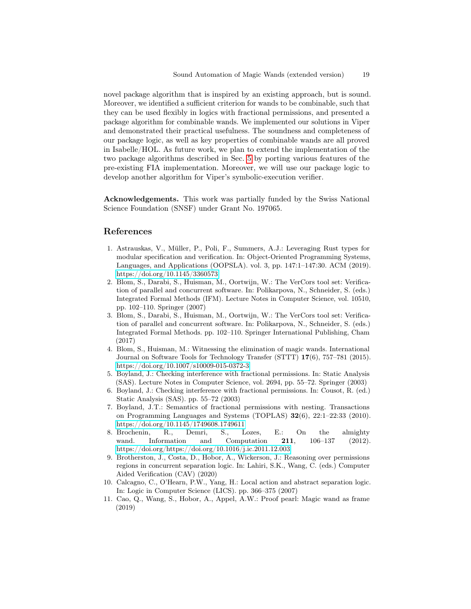novel package algorithm that is inspired by an existing approach, but is sound. Moreover, we identified a sufficient criterion for wands to be combinable, such that they can be used flexibly in logics with fractional permissions, and presented a package algorithm for combinable wands. We implemented our solutions in Viper and demonstrated their practical usefulness. The soundness and completeness of our package logic, as well as key properties of combinable wands are all proved in Isabelle/HOL. As future work, we plan to extend the implementation of the two package algorithms described in Sec. [5](#page-15-0) by porting various features of the pre-existing FIA implementation. Moreover, we will use our package logic to develop another algorithm for Viper's symbolic-execution verifier.

Acknowledgements. This work was partially funded by the Swiss National Science Foundation (SNSF) under Grant No. 197065.

#### References

- <span id="page-18-1"></span>1. Astrauskas, V., Müller, P., Poli, F., Summers, A.J.: Leveraging Rust types for modular specification and verification. In: Object-Oriented Programming Systems, Languages, and Applications (OOPSLA). vol. 3, pp. 147:1–147:30. ACM (2019). <https://doi.org/10.1145/3360573>
- <span id="page-18-10"></span>2. Blom, S., Darabi, S., Huisman, M., Oortwijn, W.: The VerCors tool set: Verification of parallel and concurrent software. In: Polikarpova, N., Schneider, S. (eds.) Integrated Formal Methods (IFM). Lecture Notes in Computer Science, vol. 10510, pp. 102–110. Springer (2007)
- <span id="page-18-4"></span>3. Blom, S., Darabi, S., Huisman, M., Oortwijn, W.: The VerCors tool set: Verification of parallel and concurrent software. In: Polikarpova, N., Schneider, S. (eds.) Integrated Formal Methods. pp. 102–110. Springer International Publishing, Cham (2017)
- <span id="page-18-3"></span>4. Blom, S., Huisman, M.: Witnessing the elimination of magic wands. International Journal on Software Tools for Technology Transfer (STTT) 17(6), 757–781 (2015). <https://doi.org/10.1007/s10009-015-0372-3>
- <span id="page-18-5"></span>5. Boyland, J.: Checking interference with fractional permissions. In: Static Analysis (SAS). Lecture Notes in Computer Science, vol. 2694, pp. 55–72. Springer (2003)
- <span id="page-18-7"></span>6. Boyland, J.: Checking interference with fractional permissions. In: Cousot, R. (ed.) Static Analysis (SAS). pp. 55–72 (2003)
- <span id="page-18-8"></span>7. Boyland, J.T.: Semantics of fractional permissions with nesting. Transactions on Programming Languages and Systems (TOPLAS) 32(6), 22:1–22:33 (2010). <https://doi.org/10.1145/1749608.1749611>
- <span id="page-18-2"></span>8. Brochenin, R., Demri, S., Lozes, E.: On the almighty wand. Information and Computation 211, 106–137 (2012). <https://doi.org/https://doi.org/10.1016/j.ic.2011.12.003>
- <span id="page-18-9"></span>9. Brotherston, J., Costa, D., Hobor, A., Wickerson, J.: Reasoning over permissions regions in concurrent separation logic. In: Lahiri, S.K., Wang, C. (eds.) Computer Aided Verification (CAV) (2020)
- <span id="page-18-6"></span>10. Calcagno, C., O'Hearn, P.W., Yang, H.: Local action and abstract separation logic. In: Logic in Computer Science (LICS). pp. 366–375 (2007)
- <span id="page-18-0"></span>11. Cao, Q., Wang, S., Hobor, A., Appel, A.W.: Proof pearl: Magic wand as frame (2019)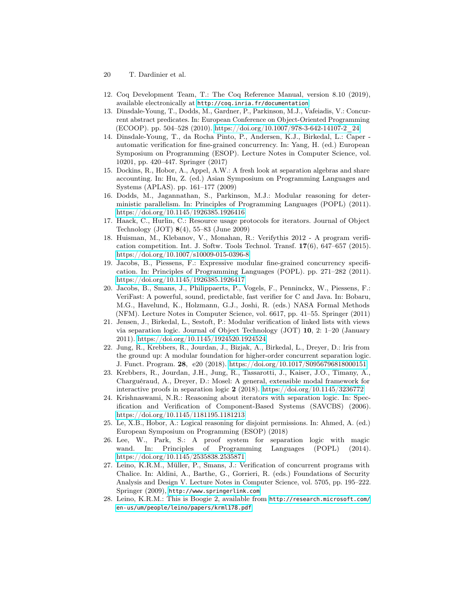- 20 T. Dardinier et al.
- <span id="page-19-16"></span>12. Coq Development Team, T.: The Coq Reference Manual, version 8.10 (2019), available electronically at <http://coq.inria.fr/documentation>
- <span id="page-19-9"></span>13. Dinsdale-Young, T., Dodds, M., Gardner, P., Parkinson, M.J., Vafeiadis, V.: Concurrent abstract predicates. In: European Conference on Object-Oriented Programming (ECOOP). pp. 504–528 (2010). [https://doi.org/10.1007/978-3-642-14107-2\\_24](https://doi.org/10.1007/978-3-642-14107-2_24)
- <span id="page-19-10"></span>14. Dinsdale-Young, T., da Rocha Pinto, P., Andersen, K.J., Birkedal, L.: Caper automatic verification for fine-grained concurrency. In: Yang, H. (ed.) European Symposium on Programming (ESOP). Lecture Notes in Computer Science, vol. 10201, pp. 420–447. Springer (2017)
- <span id="page-19-7"></span>15. Dockins, R., Hobor, A., Appel, A.W.: A fresh look at separation algebras and share accounting. In: Hu, Z. (ed.) Asian Symposium on Programming Languages and Systems (APLAS). pp. 161–177 (2009)
- <span id="page-19-2"></span>16. Dodds, M., Jagannathan, S., Parkinson, M.J.: Modular reasoning for deterministic parallelism. In: Principles of Programming Languages (POPL) (2011). <https://doi.org/10.1145/1926385.1926416>
- <span id="page-19-1"></span>17. Haack, C., Hurlin, C.: Resource usage protocols for iterators. Journal of Object Technology (JOT) 8(4), 55–83 (June 2009)
- <span id="page-19-5"></span>18. Huisman, M., Klebanov, V., Monahan, R.: Verifythis 2012 - A program verification competition. Int. J. Softw. Tools Technol. Transf.  $17(6)$ ,  $647-657$  (2015). <https://doi.org/10.1007/s10009-015-0396-8>
- <span id="page-19-8"></span>19. Jacobs, B., Piessens, F.: Expressive modular fine-grained concurrency specification. In: Principles of Programming Languages (POPL). pp. 271–282 (2011). <https://doi.org/10.1145/1926385.1926417>
- <span id="page-19-6"></span>20. Jacobs, B., Smans, J., Philippaerts, P., Vogels, F., Penninckx, W., Piessens, F.: VeriFast: A powerful, sound, predictable, fast verifier for C and Java. In: Bobaru, M.G., Havelund, K., Holzmann, G.J., Joshi, R. (eds.) NASA Formal Methods (NFM). Lecture Notes in Computer Science, vol. 6617, pp. 41–55. Springer (2011)
- <span id="page-19-3"></span>21. Jensen, J., Birkedal, L., Sestoft, P.: Modular verification of linked lists with views via separation logic. Journal of Object Technology (JOT) 10, 2: 1–20 (January 2011).<https://doi.org/10.1145/1924520.1924524>
- <span id="page-19-14"></span>22. Jung, R., Krebbers, R., Jourdan, J., Bizjak, A., Birkedal, L., Dreyer, D.: Iris from the ground up: A modular foundation for higher-order concurrent separation logic. J. Funct. Program. 28, e20 (2018).<https://doi.org/10.1017/S0956796818000151>
- <span id="page-19-15"></span>23. Krebbers, R., Jourdan, J.H., Jung, R., Tassarotti, J., Kaiser, J.O., Timany, A., Charguéraud, A., Dreyer, D.: Mosel: A general, extensible modal framework for interactive proofs in separation logic 2 (2018).<https://doi.org/10.1145/3236772>
- <span id="page-19-0"></span>24. Krishnaswami, N.R.: Reasoning about iterators with separation logic. In: Specification and Verification of Component-Based Systems (SAVCBS) (2006). <https://doi.org/10.1145/1181195.1181213>
- <span id="page-19-4"></span>25. Le, X.B., Hobor, A.: Logical reasoning for disjoint permissions. In: Ahmed, A. (ed.) European Symposium on Programming (ESOP) (2018)
- <span id="page-19-13"></span>26. Lee, W., Park, S.: A proof system for separation logic with magic wand. In: Principles of Programming Languages (POPL) (2014). <https://doi.org/10.1145/2535838.2535871>
- <span id="page-19-11"></span>27. Leino, K.R.M., Müller, P., Smans, J.: Verification of concurrent programs with Chalice. In: Aldini, A., Barthe, G., Gorrieri, R. (eds.) Foundations of Security Analysis and Design V. Lecture Notes in Computer Science, vol. 5705, pp. 195–222. Springer (2009), <http://www.springerlink.com>
- <span id="page-19-12"></span>28. Leino, K.R.M.: This is Boogie 2, available from [http://research.microsoft.com/](http://research.microsoft.com/en-us/um/people/leino/papers/krml178.pdf) [en-us/um/people/leino/papers/krml178.pdf](http://research.microsoft.com/en-us/um/people/leino/papers/krml178.pdf)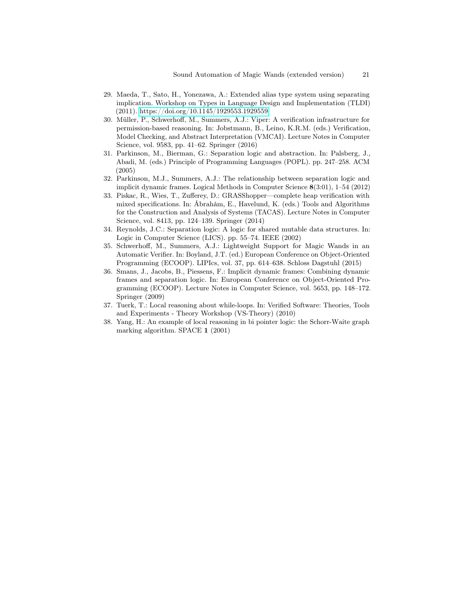- <span id="page-20-2"></span>29. Maeda, T., Sato, H., Yonezawa, A.: Extended alias type system using separating implication. Workshop on Types in Language Design and Implementation (TLDI) (2011).<https://doi.org/10.1145/1929553.1929559>
- <span id="page-20-5"></span>30. Müller, P., Schwerhoff, M., Summers, A.J.: Viper: A verification infrastructure for permission-based reasoning. In: Jobstmann, B., Leino, K.R.M. (eds.) Verification, Model Checking, and Abstract Interpretation (VMCAI). Lecture Notes in Computer Science, vol. 9583, pp. 41–62. Springer (2016)
- <span id="page-20-9"></span>31. Parkinson, M., Bierman, G.: Separation logic and abstraction. In: Palsberg, J., Abadi, M. (eds.) Principle of Programming Languages (POPL). pp. 247–258. ACM (2005)
- <span id="page-20-7"></span>32. Parkinson, M.J., Summers, A.J.: The relationship between separation logic and implicit dynamic frames. Logical Methods in Computer Science 8(3:01), 1–54 (2012)
- <span id="page-20-8"></span>33. Piskac, R., Wies, T., Zufferey, D.: GRASShopper—complete heap verification with mixed specifications. In: Ábrahám, E., Havelund, K. (eds.) Tools and Algorithms for the Construction and Analysis of Systems (TACAS). Lecture Notes in Computer Science, vol. 8413, pp. 124–139. Springer (2014)
- <span id="page-20-0"></span>34. Reynolds, J.C.: Separation logic: A logic for shared mutable data structures. In: Logic in Computer Science (LICS). pp. 55–74. IEEE (2002)
- <span id="page-20-4"></span>35. Schwerhoff, M., Summers, A.J.: Lightweight Support for Magic Wands in an Automatic Verifier. In: Boyland, J.T. (ed.) European Conference on Object-Oriented Programming (ECOOP). LIPIcs, vol. 37, pp. 614–638. Schloss Dagstuhl (2015)
- <span id="page-20-6"></span>36. Smans, J., Jacobs, B., Piessens, F.: Implicit dynamic frames: Combining dynamic frames and separation logic. In: European Conference on Object-Oriented Programming (ECOOP). Lecture Notes in Computer Science, vol. 5653, pp. 148–172. Springer (2009)
- <span id="page-20-1"></span>37. Tuerk, T.: Local reasoning about while-loops. In: Verified Software: Theories, Tools and Experiments - Theory Workshop (VS-Theory) (2010)
- <span id="page-20-3"></span>38. Yang, H.: An example of local reasoning in bi pointer logic: the Schorr-Waite graph marking algorithm. SPACE 1 (2001)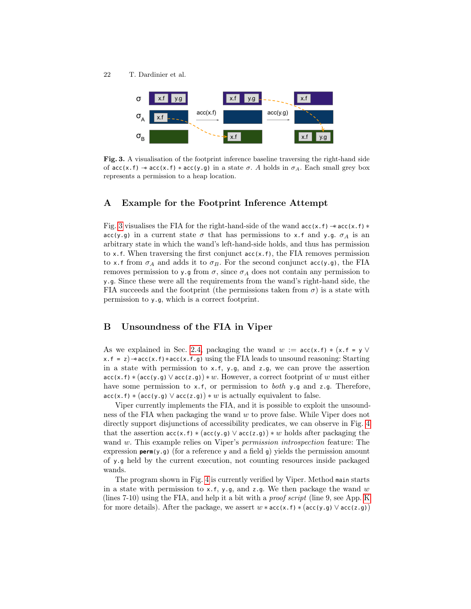

<span id="page-21-2"></span>Fig. 3. A visualisation of the footprint inference baseline traversing the right-hand side of  $acc(x, f) \rightarrow acc(x, f) * acc(y, g)$  in a state  $\sigma$ . A holds in  $\sigma_A$ . Each small grey box represents a permission to a heap location.

### <span id="page-21-0"></span>A Example for the Footprint Inference Attempt

Fig. [3](#page-21-2) visualises the FIA for the right-hand-side of the wand acc(x.f)−∗ acc(x.f) ∗ acc(y.g) in a current state  $\sigma$  that has permissions to x.f and y.g.  $\sigma_A$  is an arbitrary state in which the wand's left-hand-side holds, and thus has permission to x.f. When traversing the first conjunct acc(x.f), the FIA removes permission to x.f from  $\sigma_A$  and adds it to  $\sigma_B$ . For the second conjunct acc(y.g), the FIA removes permission to y.g from  $\sigma$ , since  $\sigma_A$  does not contain any permission to y.g. Since these were all the requirements from the wand's right-hand side, the FIA succeeds and the footprint (the permissions taken from  $\sigma$ ) is a state with permission to y.g, which is a correct footprint.

### <span id="page-21-1"></span>B Unsoundness of the FIA in Viper

As we explained in Sec. [2.4,](#page-6-1) packaging the wand  $w := \text{acc}(x.f) * (x.f = y \vee y)$  $x.f = z)$   $\ast$  acc(x.f)  $\ast$  acc(x.f.g) using the FIA leads to unsound reasoning: Starting in a state with permission to x.f, y.g, and z.g, we can prove the assertion  $acc(x.f)*(acc(y.g) \vee acc(z.g))*w$ . However, a correct footprint of w must either have some permission to x.f, or permission to *both* y.g and z.g. Therefore,  $acc(x.f) * (acc(y.g) \vee acc(z.g)) * w$  is actually equivalent to false.

Viper currently implements the FIA, and it is possible to exploit the unsoundness of the FIA when packaging the wand  $w$  to prove false. While Viper does not directly support disjunctions of accessibility predicates, we can observe in Fig. [4](#page-22-0) that the assertion  $acc(x,f) * (acc(y,q) \vee acc(z,q)) * w$  holds after packaging the wand w. This example relies on Viper's *permission introspection* feature: The expression **perm**(y.g) (for a reference y and a field g) yields the permission amount of y.g held by the current execution, not counting resources inside packaged wands.

The program shown in Fig. [4](#page-22-0) is currently verified by Viper. Method main starts in a state with permission to x.f, y.g, and z.g. We then package the wand w (lines 7-10) using the FIA, and help it a bit with a *proof script* (line 9, see App. [K](#page-32-0)) for more details). After the package, we assert  $w * acc(x, f) * (acc(y, q) \vee acc(z, q))$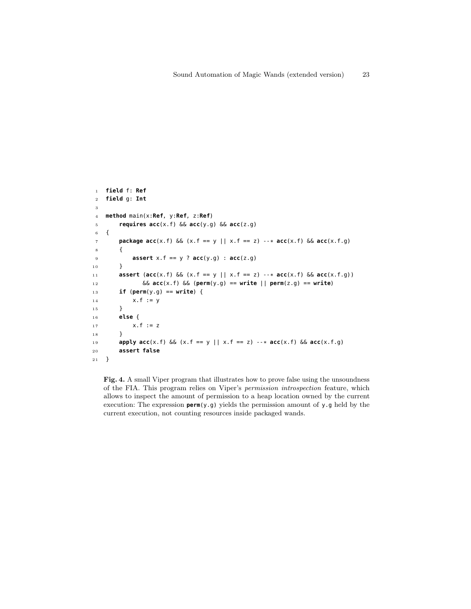```
1 field f: Ref
2 field g: Int
3
 4 method main(x:Ref, y:Ref, z:Ref)
5 requires acc(x.f) && acc(y.g) && acc(z.g)
 6 {
 7 package acc(x.f) && (x.f == y || x.f == z) --* acc(x.f) && acc(x.f.g)
 8 {
 9 assert x.f == y ? acc(y.g) : acc(z.g)
10 }
1 1 assert (acc(x.f) && (x.f == y || x.f == z) --* acc(x.f) && acc(x.f.g))
1 2 && acc(x.f) && (perm(y.g) == write || perm(z.g) == write)
1 3 if (perm(y.g) == write) {
14 x.f := y15 }
1 6 else {
17 x.f := z\begin{matrix} 1 \ 8 \end{matrix} \qquad \qquad \begin{matrix} \} \end{matrix}1 9 apply acc(x.f) && (x.f == y || x.f == z) --* acc(x.f) && acc(x.f.g)
20 assert false
21 }
```
<span id="page-22-0"></span>Fig. 4. A small Viper program that illustrates how to prove false using the unsoundness of the FIA. This program relies on Viper's permission introspection feature, which allows to inspect the amount of permission to a heap location owned by the current execution: The expression **perm**(y.g) yields the permission amount of y.g held by the current execution, not counting resources inside packaged wands.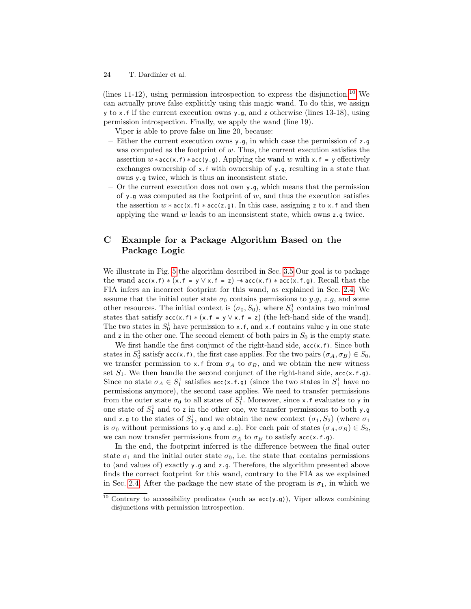(lines 11-12), using permission introspection to express the disjunction.<sup>[10](#page-23-1)</sup> We can actually prove false explicitly using this magic wand. To do this, we assign y to x.f if the current execution owns y.g, and z otherwise (lines 13-18), using permission introspection. Finally, we apply the wand (line 19).

Viper is able to prove false on line 20, because:

- Either the current execution owns y.g, in which case the permission of z.g was computed as the footprint of  $w$ . Thus, the current execution satisfies the assertion  $w * acc(x, f) * acc(y, g)$ . Applying the wand w with x.f = y effectively exchanges ownership of x.f with ownership of y.g, resulting in a state that owns y.g twice, which is thus an inconsistent state.
- Or the current execution does not own  $y \cdot q$ , which means that the permission of y.g was computed as the footprint of  $w$ , and thus the execution satisfies the assertion  $w * acc(x.f) * acc(z.q)$ . In this case, assigning z to x.f and then applying the wand  $w$  leads to an inconsistent state, which owns  $z \cdot q$  twice.

# <span id="page-23-0"></span>C Example for a Package Algorithm Based on the Package Logic

We illustrate in Fig. [5](#page-24-1) the algorithm described in Sec. [3.5](#page-11-4) Our goal is to package the wand  $acc(x.f) * (x.f = y \lor x.f = z) \rightarrow acc(x.f) * acc(x.f.g). Recall that the$ FIA infers an incorrect footprint for this wand, as explained in Sec. [2.4.](#page-5-0) We assume that the initial outer state  $\sigma_0$  contains permissions to y.g, z.g, and some other resources. The initial context is  $(\sigma_0, S_0)$ , where  $S_0^1$  contains two minimal states that satisfy  $\text{acc}(x.f) * (x.f = y \lor x.f = z)$  (the left-hand side of the wand). The two states in  $S_0^1$  have permission to x.f, and x.f contains value y in one state and z in the other one. The second element of both pairs in  $S_0$  is the empty state.

We first handle the first conjunct of the right-hand side,  $acc(x.f)$ . Since both states in  $S_0^1$  satisfy acc(x.f), the first case applies. For the two pairs  $(\sigma_A, \sigma_B) \in S_0$ , we transfer permission to x.f from  $\sigma_A$  to  $\sigma_B$ , and we obtain the new witness set  $S_1$ . We then handle the second conjunct of the right-hand side,  $\text{acc}(x.f.g.)$ . Since no state  $\sigma_A \in S_1^1$  satisfies  $\operatorname{acc}(x.f.g)$  (since the two states in  $S_1^1$  have no permissions anymore), the second case applies. We need to transfer permissions from the outer state  $\sigma_0$  to all states of  $S_1^1$ . Moreover, since x.f evaluates to y in one state of  $S_1^1$  and to z in the other one, we transfer permissions to both y.g and z.g to the states of  $S_1^1$ , and we obtain the new context  $(\sigma_1, S_2)$  (where  $\sigma_1$ is  $\sigma_0$  without permissions to y.g and z.g). For each pair of states  $(\sigma_A, \sigma_B) \in S_2$ , we can now transfer permissions from  $\sigma_A$  to  $\sigma_B$  to satisfy acc(x.f.g).

In the end, the footprint inferred is the difference between the final outer state  $\sigma_1$  and the initial outer state  $\sigma_0$ , i.e. the state that contains permissions to (and values of) exactly y.g and z.g. Therefore, the algorithm presented above finds the correct footprint for this wand, contrary to the FIA as we explained in Sec. [2.4.](#page-5-0) After the package the new state of the program is  $\sigma_1$ , in which we

<sup>24</sup> T. Dardinier et al.

<span id="page-23-1"></span><sup>&</sup>lt;sup>10</sup> Contrary to accessibility predicates (such as  $acc(y.g)$ ), Viper allows combining disjunctions with permission introspection.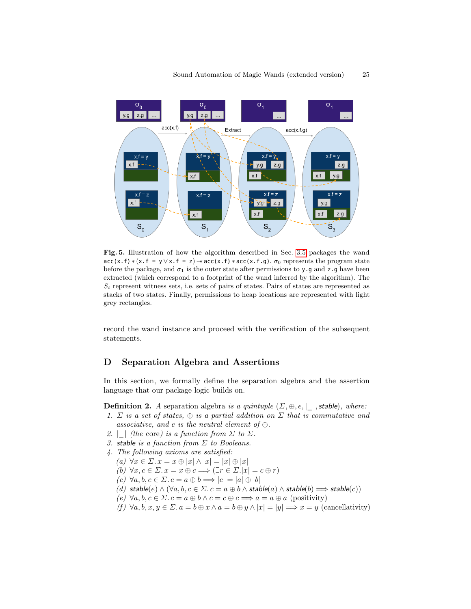

<span id="page-24-1"></span>Fig. 5. Illustration of how the algorithm described in Sec. [3.5](#page-11-4) packages the wand  $acc(x.f) * (x.f = y \vee x.f = z) \rightarrow acc(x.f) * acc(x.f.g). \sigma_0$  represents the program state before the package, and  $\sigma_1$  is the outer state after permissions to y.g and z.g have been extracted (which correspond to a footprint of the wand inferred by the algorithm). The  $S_i$  represent witness sets, i.e. sets of pairs of states. Pairs of states are represented as stacks of two states. Finally, permissions to heap locations are represented with light grey rectangles.

record the wand instance and proceed with the verification of the subsequent statements.

### <span id="page-24-0"></span>D Separation Algebra and Assertions

In this section, we formally define the separation algebra and the assertion language that our package logic builds on.

<span id="page-24-2"></span>**Definition 2.** A separation algebra is a quintuple  $(\Sigma, \oplus, e, |\cdot|, \text{stable})$ , where:

- 1.  $\Sigma$  is a set of states,  $\oplus$  is a partial addition on  $\Sigma$  that is commutative and associative, and e is the neutral element of  $\oplus$ .
- 2.  $\mid$  (the core) is a function from  $\Sigma$  to  $\Sigma$ .
- 3. stable is a function from  $\Sigma$  to Booleans.
- 4. The following axioms are satisfied:
	- (a)  $\forall x \in \Sigma$ .  $x = x \oplus |x| \wedge |x| = |x| \oplus |x|$
	- (b)  $\forall x, c \in \Sigma$ .  $x = x \oplus c \Longrightarrow (\exists r \in \Sigma \ldotp |x| = c \oplus r)$
	- $(c) \ \forall a, b, c \in \Sigma$ .  $c = a \oplus b \Longrightarrow |c| = |a| \oplus |b|$
	- (d) stable(e)  $\land$   $(\forall a, b, c \in \Sigma$ .  $c = a \oplus b \land$  stable(a)  $\land$  stable(b)  $\Longrightarrow$  stable(c))
	- (e)  $\forall a, b, c \in \Sigma$ .  $c = a \oplus b \land c = c \oplus c \Longrightarrow a = a \oplus a$  (positivity)
	- (f)  $\forall a, b, x, y \in \Sigma$ .  $a = b \oplus x \wedge a = b \oplus y \wedge |x| = |y| \Longrightarrow x = y$  (cancellativity)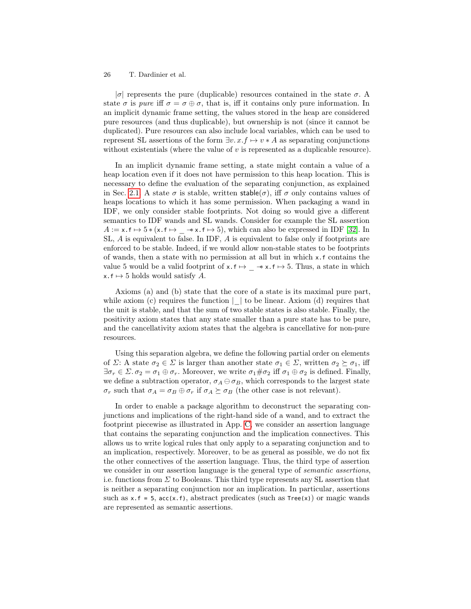| $\sigma$ | represents the pure (duplicable) resources contained in the state  $\sigma$ . A state  $\sigma$  is pure iff  $\sigma = \sigma \oplus \sigma$ , that is, iff it contains only pure information. In an implicit dynamic frame setting, the values stored in the heap are considered pure resources (and thus duplicable), but ownership is not (since it cannot be duplicated). Pure resources can also include local variables, which can be used to represent SL assertions of the form  $\exists v. x.f \mapsto v * A$  as separating conjunctions without existentials (where the value of  $v$  is represented as a duplicable resource).

In an implicit dynamic frame setting, a state might contain a value of a heap location even if it does not have permission to this heap location. This is necessary to define the evaluation of the separating conjunction, as explained in Sec. [2.1.](#page-3-1) A state  $\sigma$  is stable, written stable( $\sigma$ ), iff  $\sigma$  only contains values of heaps locations to which it has some permission. When packaging a wand in IDF, we only consider stable footprints. Not doing so would give a different semantics to IDF wands and SL wands. Consider for example the SL assertion  $A := x.f \mapsto 5 * (x.f \mapsto \rightarrow * x.f \mapsto 5)$ , which can also be expressed in IDF [\[32\]](#page-20-7). In SL, A is equivalent to false. In IDF, A is equivalent to false only if footprints are enforced to be stable. Indeed, if we would allow non-stable states to be footprints of wands, then a state with no permission at all but in which x.f contains the value 5 would be a valid footprint of  $x.f \mapsto -\ast x.f \mapsto 5$ . Thus, a state in which  $x.f \mapsto 5$  holds would satisfy A.

Axioms (a) and (b) state that the core of a state is its maximal pure part, while axiom (c) requires the function  $|\cdot|$  to be linear. Axiom (d) requires that the unit is stable, and that the sum of two stable states is also stable. Finally, the positivity axiom states that any state smaller than a pure state has to be pure, and the cancellativity axiom states that the algebra is cancellative for non-pure resources.

Using this separation algebra, we define the following partial order on elements of  $\Sigma$ : A state  $\sigma_2 \in \Sigma$  is larger than another state  $\sigma_1 \in \Sigma$ , written  $\sigma_2 \succeq \sigma_1$ , iff  $\exists \sigma_r \in \Sigma$ .  $\sigma_2 = \sigma_1 \oplus \sigma_r$ . Moreover, we write  $\sigma_1 \# \sigma_2$  iff  $\sigma_1 \oplus \sigma_2$  is defined. Finally, we define a subtraction operator,  $\sigma_A \ominus \sigma_B$ , which corresponds to the largest state  $\sigma_r$  such that  $\sigma_A = \sigma_B \oplus \sigma_r$  if  $\sigma_A \succeq \sigma_B$  (the other case is not relevant).

In order to enable a package algorithm to deconstruct the separating conjunctions and implications of the right-hand side of a wand, and to extract the footprint piecewise as illustrated in App. [C,](#page-23-0) we consider an assertion language that contains the separating conjunction and the implication connectives. This allows us to write logical rules that only apply to a separating conjunction and to an implication, respectively. Moreover, to be as general as possible, we do not fix the other connectives of the assertion language. Thus, the third type of assertion we consider in our assertion language is the general type of *semantic assertions*, i.e. functions from  $\Sigma$  to Booleans. This third type represents any SL assertion that is neither a separating conjunction nor an implication. In particular, assertions such as  $x.f = 5$ ,  $acc(x.f)$ , abstract predicates (such as  $Tree(x)$ ) or magic wands are represented as semantic assertions.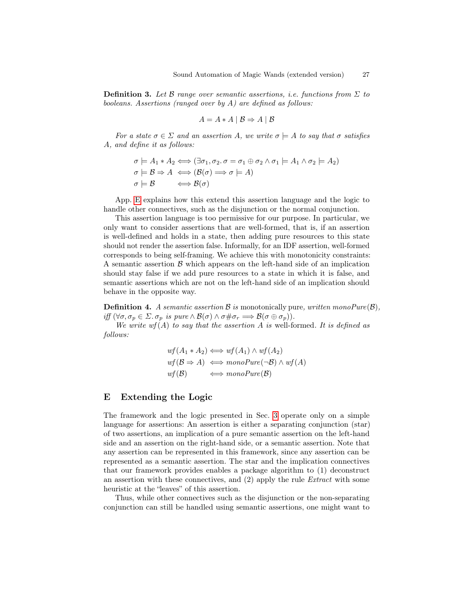**Definition 3.** Let B range over semantic assertions, i.e. functions from  $\Sigma$  to booleans. Assertions (ranged over by A) are defined as follows:

$$
A = A * A | B \Rightarrow A | B
$$

For a state  $\sigma \in \Sigma$  and an assertion A, we write  $\sigma \models A$  to say that  $\sigma$  satisfies A, and define it as follows:

$$
\sigma \models A_1 * A_2 \Longleftrightarrow (\exists \sigma_1, \sigma_2. \sigma = \sigma_1 \oplus \sigma_2 \land \sigma_1 \models A_1 \land \sigma_2 \models A_2)
$$
  
\n
$$
\sigma \models \mathcal{B} \Rightarrow A \iff (\mathcal{B}(\sigma) \Longrightarrow \sigma \models A)
$$
  
\n
$$
\sigma \models \mathcal{B} \iff \mathcal{B}(\sigma)
$$

App. [E](#page-26-0) explains how this extend this assertion language and the logic to handle other connectives, such as the disjunction or the normal conjunction.

This assertion language is too permissive for our purpose. In particular, we only want to consider assertions that are well-formed, that is, if an assertion is well-defined and holds in a state, then adding pure resources to this state should not render the assertion false. Informally, for an IDF assertion, well-formed corresponds to being self-framing. We achieve this with monotonicity constraints: A semantic assertion  $\beta$  which appears on the left-hand side of an implication should stay false if we add pure resources to a state in which it is false, and semantic assertions which are not on the left-hand side of an implication should behave in the opposite way.

**Definition 4.** A semantic assertion  $\mathcal{B}$  is monotonically pure, written monoPure( $\mathcal{B}$ ), iff  $(\forall \sigma, \sigma_p \in \Sigma$ .  $\sigma_p$  is pure  $\wedge$   $\mathcal{B}(\sigma) \wedge \sigma \neq \sigma_r \Longrightarrow \mathcal{B}(\sigma \oplus \sigma_p)).$ 

We write  $wf(A)$  to say that the assertion A is well-formed. It is defined as follows:

$$
wf(A_1 * A_2) \iff wf(A_1) \land wf(A_2)
$$
  

$$
wf(\mathcal{B} \Rightarrow A) \iff monoPure(\neg \mathcal{B}) \land wf(A)
$$
  

$$
wf(\mathcal{B}) \iff monoPure(\mathcal{B})
$$

### <span id="page-26-0"></span>E Extending the Logic

The framework and the logic presented in Sec. [3](#page-6-0) operate only on a simple language for assertions: An assertion is either a separating conjunction (star) of two assertions, an implication of a pure semantic assertion on the left-hand side and an assertion on the right-hand side, or a semantic assertion. Note that any assertion can be represented in this framework, since any assertion can be represented as a semantic assertion. The star and the implication connectives that our framework provides enables a package algorithm to (1) deconstruct an assertion with these connectives, and (2) apply the rule Extract with some heuristic at the "leaves" of this assertion.

Thus, while other connectives such as the disjunction or the non-separating conjunction can still be handled using semantic assertions, one might want to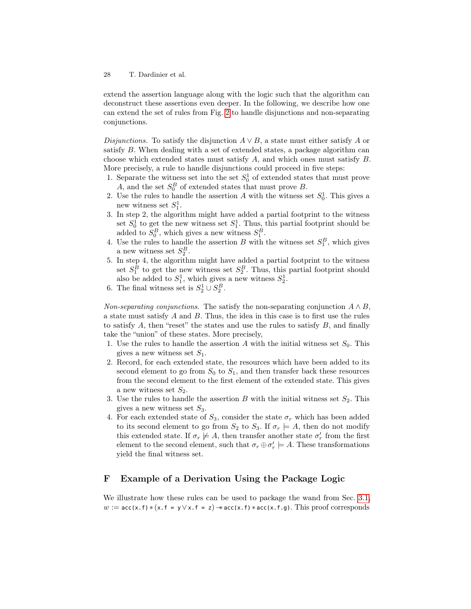extend the assertion language along with the logic such that the algorithm can deconstruct these assertions even deeper. In the following, we describe how one can extend the set of rules from Fig. [2](#page-10-0) to handle disjunctions and non-separating conjunctions.

Disjunctions. To satisfy the disjunction  $A \vee B$ , a state must either satisfy A or satisfy B. When dealing with a set of extended states, a package algorithm can choose which extended states must satisfy A, and which ones must satisfy B. More precisely, a rule to handle disjunctions could proceed in five steps:

- 1. Separate the witness set into the set  $S_0^1$  of extended states that must prove A, and the set  $S_0^B$  of extended states that must prove B.
- 2. Use the rules to handle the assertion A with the witness set  $S_0^1$ . This gives a new witness set  $S_1^1$ .
- 3. In step 2, the algorithm might have added a partial footprint to the witness set  $S_0^1$  to get the new witness set  $S_1^1$ . Thus, this partial footprint should be added to  $S_0^B$ , which gives a new witness  $S_1^B$ .
- 4. Use the rules to handle the assertion B with the witness set  $S_1^B$ , which gives a new witness set  $S_2^B$ .
- 5. In step 4, the algorithm might have added a partial footprint to the witness set  $S_1^B$  to get the new witness set  $S_2^B$ . Thus, this partial footprint should also be added to  $S_1^1$ , which gives a new witness  $S_2^1$ .
- 6. The final witness set is  $S_2^1 \cup S_2^B$ .

Non-separating conjunctions. The satisfy the non-separating conjunction  $A \wedge B$ , a state must satisfy  $A$  and  $B$ . Thus, the idea in this case is to first use the rules to satisfy  $A$ , then "reset" the states and use the rules to satisfy  $B$ , and finally take the "union" of these states. More precisely,

- 1. Use the rules to handle the assertion A with the initial witness set  $S_0$ . This gives a new witness set  $S_1$ .
- 2. Record, for each extended state, the resources which have been added to its second element to go from  $S_0$  to  $S_1$ , and then transfer back these resources from the second element to the first element of the extended state. This gives a new witness set  $S_2$ .
- 3. Use the rules to handle the assertion B with the initial witness set  $S_2$ . This gives a new witness set  $S_3$ .
- 4. For each extended state of  $S_3$ , consider the state  $\sigma_r$  which has been added to its second element to go from  $S_2$  to  $S_3$ . If  $\sigma_r \models A$ , then do not modify this extended state. If  $\sigma_r \not\models A$ , then transfer another state  $\sigma'_r$  from the first element to the second element, such that  $\sigma_r \oplus \sigma'_r \models A$ . These transformations yield the final witness set.

# <span id="page-27-0"></span>F Example of a Derivation Using the Package Logic

We illustrate how these rules can be used to package the wand from Sec. [3.1,](#page-7-0)  $w := \textsf{acc}(x.f) * (x.f = y \lor x.f = z) \rightarrow \textsf{acc}(x.f) * \textsf{acc}(x.f.g).$  This proof corresponds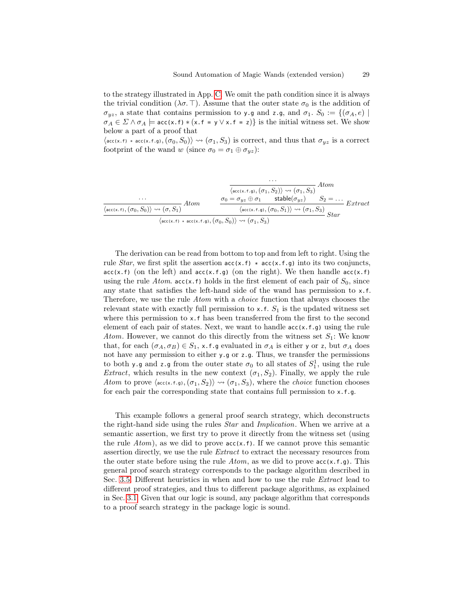to the strategy illustrated in App. [C.](#page-23-0) We omit the path condition since it is always the trivial condition ( $\lambda \sigma$ . T). Assume that the outer state  $\sigma_0$  is the addition of  $\sigma_{yz}$ , a state that contains permission to y.g and z.g, and  $\sigma_1$ .  $S_0 := \{(\sigma_A, e) \mid$  $\sigma_A \in \Sigma \wedge \sigma_A \models \text{acc}(x.f) * (x.f = y \vee x.f = z)$  is the initial witness set. We show below a part of a proof that

 $\langle \text{acc}(x,f) * \text{acc}(x,f,g),(\sigma_0, S_0) \rangle \rightsquigarrow (\sigma_1, S_3)$  is correct, and thus that  $\sigma_{yz}$  is a correct footprint of the wand w (since  $\sigma_0 = \sigma_1 \oplus \sigma_{yz}$ ):

$$
\frac{\cdots}{\langle \operatorname{acc}(x.f.g), (\sigma_1, S_2) \rangle \rightsquigarrow (\sigma_1, S_3)} \text{Atom}
$$
\n
$$
\frac{\sigma_0 = \sigma_{yz} \oplus \sigma_1 \quad \text{stable}(\sigma_{yz})}{\langle \operatorname{acc}(x.f), (\sigma_0, S_0) \rangle \rightsquigarrow (\sigma, S_1)} \text{Atom}
$$
\n
$$
\frac{\sigma_0 = \sigma_{yz} \oplus \sigma_1 \quad \text{stable}(\sigma_{yz})}{\langle \operatorname{acc}(x.f.g), (\sigma_0, S_1) \rangle \rightsquigarrow (\sigma_1, S_3)} \text{Star}
$$
\n
$$
\text{Star}
$$

The derivation can be read from bottom to top and from left to right. Using the rule *Star*, we first split the assertion  $acc(x, f) * acc(x, f, g)$  into its two conjuncts,  $acc(x.f)$  (on the left) and  $acc(x.f.g)$  (on the right). We then handle  $acc(x.f)$ using the rule Atom.  $acc(x, f)$  holds in the first element of each pair of  $S_0$ , since any state that satisfies the left-hand side of the wand has permission to x.f. Therefore, we use the rule Atom with a *choice* function that always chooses the relevant state with exactly full permission to  $x.f. S<sub>1</sub>$  is the updated witness set where this permission to x.f has been transferred from the first to the second element of each pair of states. Next, we want to handle  $acc(x.f.g)$  using the rule Atom. However, we cannot do this directly from the witness set  $S_1$ : We know that, for each  $(\sigma_A, \sigma_B) \in S_1$ , x.f.g evaluated in  $\sigma_A$  is either y or z, but  $\sigma_A$  does not have any permission to either y.g or z.g. Thus, we transfer the permissions to both y.g and z.g from the outer state  $\sigma_0$  to all states of  $S_1^1$ , using the rule *Extract*, which results in the new context  $(\sigma_1, S_2)$ . Finally, we apply the rule Atom to prove  $\langle acc(x.f.g),(\sigma_1, S_2)\rangle \rightsquigarrow (\sigma_1, S_3)$ , where the *choice* function chooses for each pair the corresponding state that contains full permission to  $x.f.q.$ 

This example follows a general proof search strategy, which deconstructs the right-hand side using the rules Star and Implication. When we arrive at a semantic assertion, we first try to prove it directly from the witness set (using the rule  $Atom$ , as we did to prove  $acc(x.f)$ . If we cannot prove this semantic assertion directly, we use the rule Extract to extract the necessary resources from the outer state before using the rule  $Atom$ , as we did to prove  $acc(x.f.g)$ . This general proof search strategy corresponds to the package algorithm described in Sec. [3.5.](#page-11-4) Different heuristics in when and how to use the rule Extract lead to different proof strategies, and thus to different package algorithms, as explained in Sec. [3.1.](#page-7-0) Given that our logic is sound, any package algorithm that corresponds to a proof search strategy in the package logic is sound.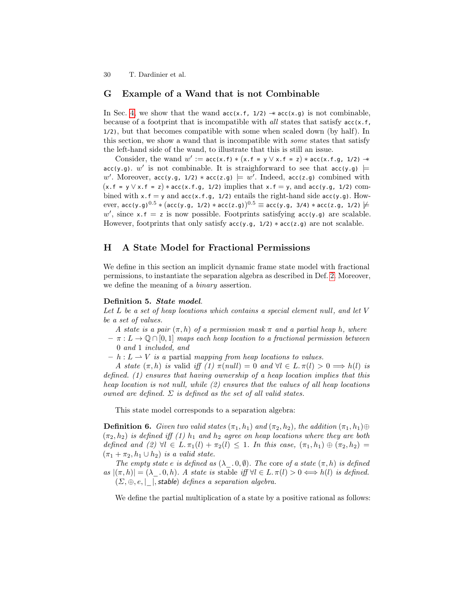#### <span id="page-29-1"></span>G Example of a Wand that is not Combinable

In Sec. [4,](#page-12-0) we show that the wand  $acc(x.f, 1/2) \rightarrow acc(x.g)$  is not combinable, because of a footprint that is incompatible with all states that satisfy acc(x.f, 1/2), but that becomes compatible with some when scaled down (by half). In this section, we show a wand that is incompatible with some states that satisfy the left-hand side of the wand, to illustrate that this is still an issue.

Consider, the wand  $w' := acc(x.f) * (x.f = y \lor x.f = z) * acc(x.f.g., 1/2)$   $\rightarrow$ acc(y.g).  $w'$  is not combinable. It is straighforward to see that acc(y.g)  $\models$ w'. Moreover, acc(y.g, 1/2) \* acc(z.g)  $\models w'$ . Indeed, acc(z.g) combined with  $(x.f = y \lor x.f = z) * acc(x.f.g., 1/2)$  implies that  $x.f = y$ , and  $acc(y.g., 1/2)$  combined with  $x.f = y$  and  $acc(x.f.g., 1/2)$  entails the right-hand side  $acc(y.g).$  How- ${\rm ever,~acc}$ (y.g) $^{0.5}$   $\ast$   $({\rm acc}$ (y.g,  $1$ /2)  $\ast$  acc(z.g) $){}^{0.5}$   $\equiv$  acc(y.g,  $3$ /4)  $\ast$  acc(z.g,  $1$ /2)  $\not \models$  $w'$ , since x.f = z is now possible. Footprints satisfying acc(y.g) are scalable. However, footprints that only satisfy  $acc(y.g., 1/2) * acc(z.g.)$  are not scalable.

#### <span id="page-29-0"></span>H A State Model for Fractional Permissions

We define in this section an implicit dynamic frame state model with fractional permissions, to instantiate the separation algebra as described in Def. [2.](#page-24-2) Moreover, we define the meaning of a *binary* assertion.

#### Definition 5. State model.

Let L be a set of heap locations which contains a special element null, and let V be a set of values.

A state is a pair  $(\pi, h)$  of a permission mask  $\pi$  and a partial heap h, where

 $- \pi : L \to \mathbb{Q} \cap [0,1]$  maps each heap location to a fractional permission between 0 and 1 included, and

 $- h : L \longrightarrow V$  is a partial mapping from heap locations to values.

A state  $(\pi, h)$  is valid iff  $(1) \pi (null) = 0$  and  $\forall l \in L$ .  $\pi(l) > 0 \Longrightarrow h(l)$  is defined. (1) ensures that having ownership of a heap location implies that this heap location is not null, while (2) ensures that the values of all heap locations owned are defined.  $\Sigma$  is defined as the set of all valid states.

This state model corresponds to a separation algebra:

**Definition 6.** Given two valid states  $(\pi_1, h_1)$  and  $(\pi_2, h_2)$ , the addition  $(\pi_1, h_1) \oplus$  $(\pi_2, h_2)$  is defined iff (1)  $h_1$  and  $h_2$  agree on heap locations where they are both defined and (2)  $\forall l \in L. \pi_1(l) + \pi_2(l) \leq 1$ . In this case,  $(\pi_1, h_1) \oplus (\pi_2, h_2) =$  $(\pi_1 + \pi_2, h_1 \cup h_2)$  is a valid state.

The empty state e is defined as  $(\lambda \cdot 0, \emptyset)$ . The core of a state  $(\pi, h)$  is defined  $as |(\pi, h)| = (\lambda \dots 0, h)$ . A state is stable iff  $\forall l \in L$ .  $\pi(l) > 0 \iff h(l)$  is defined.  $(\Sigma, \oplus, e, \vert \ \vert,$ stable) defines a separation algebra.

We define the partial multiplication of a state by a positive rational as follows: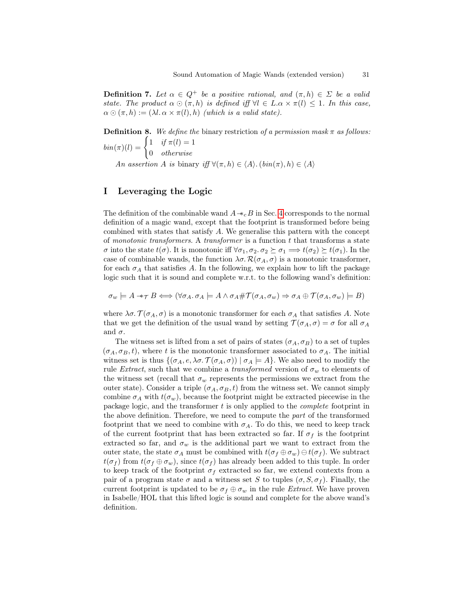**Definition 7.** Let  $\alpha \in Q^+$  be a positive rational, and  $(\pi, h) \in \Sigma$  be a valid state. The product  $\alpha \odot (\pi,h)$  is defined iff  $\forall l \in L. \alpha \times \pi(l) \leq 1$ . In this case,  $\alpha \odot (\pi, h) := (\lambda l. \alpha \times \pi(l), h)$  (which is a valid state).

**Definition 8.** We define the binary restriction of a permission mask  $\pi$  as follows:  $\lim_{l}(\pi)(l) = \begin{cases} 1 & \text{if } \pi(l) = 1 \\ 0 & \text{if } \pi(l) \end{cases}$ 0 otherwise

An assertion A is binary iff  $\forall (\pi, h) \in \langle A \rangle$ .  $(bin(\pi), h) \in \langle A \rangle$ 

# <span id="page-30-0"></span>I Leveraging the Logic

The definition of the combinable wand  $A \rightharpoonup_c B$  in Sec. [4](#page-12-0) corresponds to the normal definition of a magic wand, except that the footprint is transformed before being combined with states that satisfy A. We generalise this pattern with the concept of monotonic transformers. A transformer is a function  $t$  that transforms a state  $\sigma$  into the state  $t(σ)$ . It is monotonic iff  $\forall \sigma_1, \sigma_2, \sigma_2 \succeq \sigma_1 \Longrightarrow t(\sigma_2) \succeq t(\sigma_1)$ . In the case of combinable wands, the function  $\lambda \sigma$ .  $\mathcal{R}(\sigma_A, \sigma)$  is a monotonic transformer, for each  $\sigma_A$  that satisfies A. In the following, we explain how to lift the package logic such that it is sound and complete w.r.t. to the following wand's definition:

 $\sigma_w \models A \dashrightarrow_{\mathcal{T}} B \Longleftrightarrow (\forall \sigma_A \ldotp \sigma_A \models A \land \sigma_A \# \mathcal{T}(\sigma_A, \sigma_w) \Rightarrow \sigma_A \oplus \mathcal{T}(\sigma_A, \sigma_w) \models B)$ 

where  $\lambda \sigma$ .  $\mathcal{T}(\sigma_A, \sigma)$  is a monotonic transformer for each  $\sigma_A$  that satisfies A. Note that we get the definition of the usual wand by setting  $\mathcal{T}(\sigma_A, \sigma) = \sigma$  for all  $\sigma_A$ and  $\sigma$ .

The witness set is lifted from a set of pairs of states  $(\sigma_A, \sigma_B)$  to a set of tuples  $(\sigma_A, \sigma_B, t)$ , where t is the monotonic transformer associated to  $\sigma_A$ . The initial witness set is thus  $\{(\sigma_A, e, \lambda \sigma, \mathcal{T}(\sigma_A, \sigma)) \mid \sigma_A \models A\}$ . We also need to modify the rule Extract, such that we combine a transformed version of  $\sigma_w$  to elements of the witness set (recall that  $\sigma_w$  represents the permissions we extract from the outer state). Consider a triple  $(\sigma_A, \sigma_B, t)$  from the witness set. We cannot simply combine  $\sigma_A$  with  $t(\sigma_w)$ , because the footprint might be extracted piecewise in the package logic, and the transformer  $t$  is only applied to the *complete* footprint in the above definition. Therefore, we need to compute the part of the transformed footprint that we need to combine with  $\sigma_A$ . To do this, we need to keep track of the current footprint that has been extracted so far. If  $\sigma_f$  is the footprint extracted so far, and  $\sigma_w$  is the additional part we want to extract from the outer state, the state  $\sigma_A$  must be combined with  $t(\sigma_f \oplus \sigma_w) \ominus t(\sigma_f)$ . We subtract  $t(\sigma_f)$  from  $t(\sigma_f \oplus \sigma_w)$ , since  $t(\sigma_f)$  has already been added to this tuple. In order to keep track of the footprint  $\sigma_f$  extracted so far, we extend contexts from a pair of a program state  $\sigma$  and a witness set S to tuples  $(\sigma, S, \sigma_f)$ . Finally, the current footprint is updated to be  $\sigma_f \oplus \sigma_w$  in the rule *Extract*. We have proven in Isabelle/HOL that this lifted logic is sound and complete for the above wand's definition.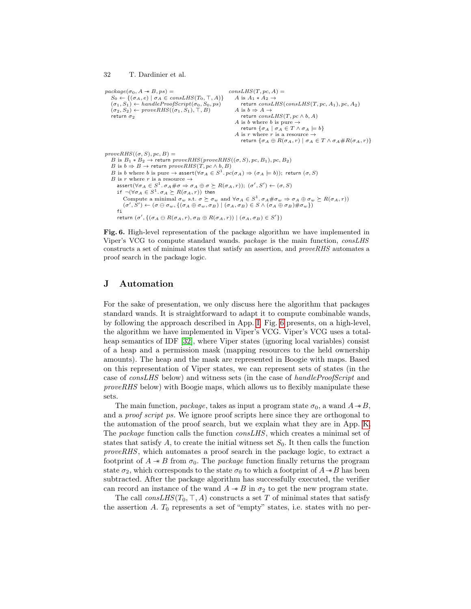```
32 T. Dardinier et al.
```

```
package(\sigma_0, A \twoheadrightarrow B, ps) =S_0 \leftarrow \{(\sigma_A, e) \mid \sigma_A \in \text{consLHS}(T_0, \top, A)\}<br>
(\sigma_1, S_1) \leftarrow \text{handleProofScript}(\sigma_0, S_0, ps)(\sigma_2, S_2) \leftarrow proveRHS((\sigma_1, S_1), \top, B)return \sigma_2consLHS(T, pc, A) =A is A_1 * A_2 -return consLHS(consLHS(T, pc, A_1), pc, A_2)A is b \Rightarrow A \rightarrowreturn consLHS(T, pc \wedge b, A)A is b where b is pure \rightarrowreturn \{\sigma_A \mid \sigma_A \in T \wedge \sigma_A \models b\}A is r where r is a resource \rightarrowreturn \{\sigma_A \oplus R(\sigma_A, r) \mid \sigma_A \in T \wedge \sigma_A \# R(\sigma_A, r)\}\proveRHS((\sigma, S), pc, B) =B is B_1 * B_2 \rightarrow return proveRHS(proveRHS((\sigma, S), pc, B<sub>1</sub>), pc, B<sub>2</sub>)
    B is b \Rightarrow B \rightarrow return prove RHS(T, pc \wedge b, B)
    B is b where b is pure \to assert(\forall \sigma_A \in S^1 \cdot pc(\sigma_A) \Rightarrow (\sigma_A \models b)); return (\sigma, S)B is r where r is a resource \rightarrowassert(\forall \sigma_A \in S^1 \ldotp \sigma_A \# \sigma \Rightarrow \sigma_A \oplus \sigma \succeq R(\sigma_A, r)); \ (\sigma', S') \leftarrow (\sigma, S)if \neg(\forall \sigma_A \in S^1 \ldotp \sigma_A \succeq R(\sigma_A, r)) then
             Compute a minimal \sigma_w s.t. \sigma \succeq \sigma_w and \forall \sigma_A \in S^1. \sigma_A \# \sigma_w \Rightarrow \sigma_A \oplus \sigma_w \succeq R(\sigma_A, r)(\sigma', \overline{S}') \leftarrow (\sigma \ominus \sigma_w, \{(\sigma_A \oplus \sigma_w, \sigma_B) \mid (\sigma_A, \sigma_B) \in S \land (\sigma_A \oplus \sigma_B) \# \sigma_w\})fi
        return (\sigma', \{(\sigma_A \ominus R(\sigma_A, r), \sigma_B \oplus R(\sigma_A, r)) \mid (\sigma_A, \sigma_B) \in S'\})
```
<span id="page-31-1"></span>Fig. 6. High-level representation of the package algorithm we have implemented in Viper's VCG to compute standard wands. package is the main function, consLHS constructs a set of minimal states that satisfy an assertion, and proveRHS automates a proof search in the package logic.

### <span id="page-31-0"></span>J Automation

For the sake of presentation, we only discuss here the algorithm that packages standard wands. It is straightforward to adapt it to compute combinable wands, by following the approach described in App. [I.](#page-30-0) Fig. [6](#page-31-1) presents, on a high-level, the algorithm we have implemented in Viper's VCG. Viper's VCG uses a total-heap semantics of IDF [\[32\]](#page-20-7), where Viper states (ignoring local variables) consist of a heap and a permission mask (mapping resources to the held ownership amounts). The heap and the mask are represented in Boogie with maps. Based on this representation of Viper states, we can represent sets of states (in the case of consLHS below) and witness sets (in the case of handleProofScript and  $proveRHS$  below) with Boogie maps, which allows us to flexibly manipulate these sets.

The main function, package, takes as input a program state  $\sigma_0$ , a wand  $A \rightarrow B$ , and a *proof script ps*. We ignore proof scripts here since they are orthogonal to the automation of the proof search, but we explain what they are in App. [K.](#page-32-0) The package function calls the function consLHS, which creates a minimal set of states that satisfy  $A$ , to create the initial witness set  $S_0$ . It then calls the function proveRHS, which automates a proof search in the package logic, to extract a footprint of  $A \rightarrow B$  from  $\sigma_0$ . The *package* function finally returns the program state  $\sigma_2$ , which corresponds to the state  $\sigma_0$  to which a footprint of  $A \rightarrow B$  has been subtracted. After the package algorithm has successfully executed, the verifier can record an instance of the wand  $A \rightarrow B$  in  $\sigma_2$  to get the new program state.

The call  $consLHS(T_0, \top, A)$  constructs a set T of minimal states that satisfy the assertion  $A$ .  $T_0$  represents a set of "empty" states, i.e. states with no per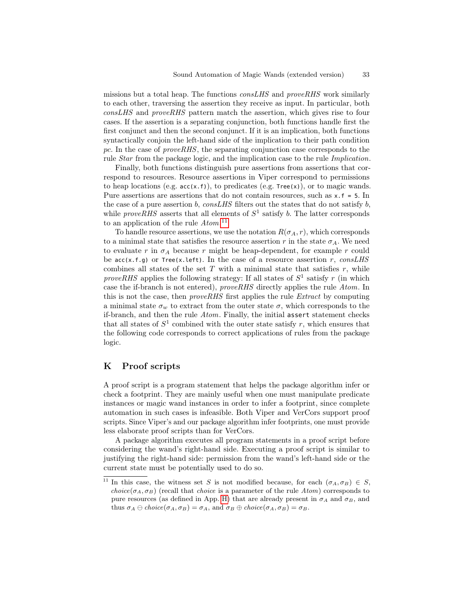missions but a total heap. The functions consLHS and proveRHS work similarly to each other, traversing the assertion they receive as input. In particular, both consLHS and proveRHS pattern match the assertion, which gives rise to four cases. If the assertion is a separating conjunction, both functions handle first the first conjunct and then the second conjunct. If it is an implication, both functions syntactically conjoin the left-hand side of the implication to their path condition pc. In the case of  $proveRHS$ , the separating conjunction case corresponds to the rule Star from the package logic, and the implication case to the rule Implication.

Finally, both functions distinguish pure assertions from assertions that correspond to resources. Resource assertions in Viper correspond to permissions to heap locations (e.g.  $acc(x.f)$ ), to predicates (e.g.  $Tree(x)$ ), or to magic wands. Pure assertions are assertions that do not contain resources, such as  $x.f = 5$ . In the case of a pure assertion b,  $consLHS$  filters out the states that do not satisfy b. while *proveRHS* asserts that all elements of  $S^1$  satisfy b. The latter corresponds to an application of the rule  $Atom.^{11}$  $Atom.^{11}$  $Atom.^{11}$ 

To handle resource assertions, we use the notation  $R(\sigma_A, r)$ , which corresponds to a minimal state that satisfies the resource assertion r in the state  $\sigma_A$ . We need to evaluate r in  $\sigma_A$  because r might be heap-dependent, for example r could be acc(x.f.g) or Tree(x.left). In the case of a resource assertion r,  $consLHS$ combines all states of the set  $T$  with a minimal state that satisfies  $r$ , while proveRHS applies the following strategy: If all states of  $S^1$  satisfy r (in which case the if-branch is not entered), proveRHS directly applies the rule Atom. In this is not the case, then proveRHS first applies the rule Extract by computing a minimal state  $\sigma_w$  to extract from the outer state  $\sigma$ , which corresponds to the if-branch, and then the rule Atom. Finally, the initial assert statement checks that all states of  $S^1$  combined with the outer state satisfy r, which ensures that the following code corresponds to correct applications of rules from the package logic.

# <span id="page-32-0"></span>K Proof scripts

A proof script is a program statement that helps the package algorithm infer or check a footprint. They are mainly useful when one must manipulate predicate instances or magic wand instances in order to infer a footprint, since complete automation in such cases is infeasible. Both Viper and VerCors support proof scripts. Since Viper's and our package algorithm infer footprints, one must provide less elaborate proof scripts than for VerCors.

A package algorithm executes all program statements in a proof script before considering the wand's right-hand side. Executing a proof script is similar to justifying the right-hand side: permission from the wand's left-hand side or the current state must be potentially used to do so.

<span id="page-32-1"></span><sup>&</sup>lt;sup>11</sup> In this case, the witness set S is not modified because, for each  $(\sigma_A, \sigma_B) \in S$ , choice( $\sigma_A, \sigma_B$ ) (recall that choice is a parameter of the rule Atom) corresponds to pure resources (as defined in App. [H\)](#page-29-0) that are already present in  $\sigma_A$  and  $\sigma_B$ , and thus  $\sigma_A \ominus choice(\sigma_A, \sigma_B) = \sigma_A$ , and  $\sigma_B \oplus choice(\sigma_A, \sigma_B) = \sigma_B$ .